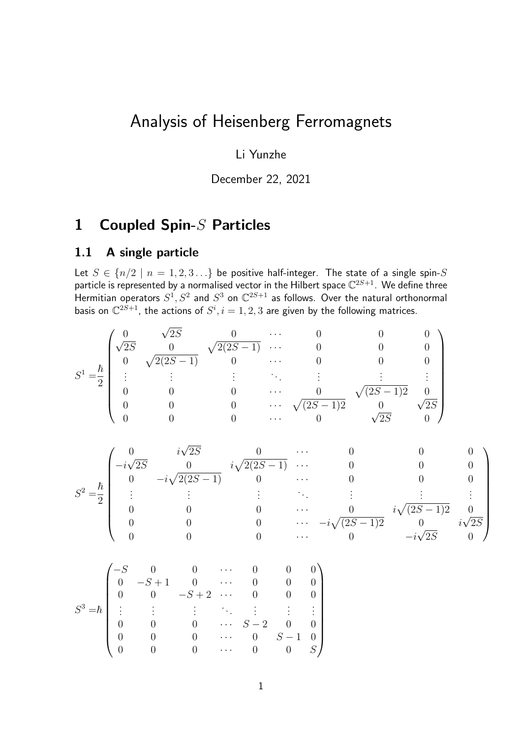# Analysis of Heisenberg Ferromagnets

Li Yunzhe

December 22, 2021

# 1 Coupled Spin-S Particles

### 1.1 A single particle

Let  $S \in \{n/2 \mid n = 1, 2, 3...\}$  be positive half-integer. The state of a single spin-S particle is represented by a normalised vector in the Hilbert space  $\mathbb{C}^{2S+1}$ . We define three Hermitian operators  $S^1, S^2$  and  $S^3$  on  $\mathbb{C}^{2S+1}$  as follows. Over the natural orthonormal basis on  $\mathbb{C}^{2S+1}$ , the actions of  $S^i, i=1,2,3$  are given by the following matrices.

$$
S^{1} = \frac{\hbar}{2} \begin{pmatrix} 0 & \sqrt{2S} & 0 & \cdots & 0 & 0 & 0 \\ \sqrt{2S} & 0 & \sqrt{2(2S-1)} & 0 & \cdots & 0 & 0 & 0 \\ 0 & \sqrt{2(2S-1)} & 0 & \cdots & 0 & 0 & 0 \\ \vdots & \vdots & \vdots & \ddots & \vdots & \vdots & \vdots \\ 0 & 0 & 0 & \cdots & 0 & \sqrt{(2S-1)2} & 0 \\ 0 & 0 & 0 & \cdots & \sqrt{(2S-1)2} & 0 & \sqrt{2S} \\ 0 & 0 & 0 & \cdots & 0 & \sqrt{2S} & 0 \end{pmatrix}
$$

$$
S^{2} = \frac{\hbar}{2} \begin{pmatrix} 0 & i\sqrt{2S} & 0 & \cdots & 0 & 0 & 0 \\ -i\sqrt{2S} & 0 & i\sqrt{2(2S-1)} & \cdots & 0 & 0 & 0 \\ 0 & -i\sqrt{2(2S-1)} & 0 & \cdots & 0 & 0 & 0 \\ \vdots & \vdots & \vdots & \ddots & \vdots & \vdots & \vdots \\ 0 & 0 & 0 & \cdots & 0 & i\sqrt{2S-1}2 & 0 \\ 0 & 0 & 0 & \cdots & -i\sqrt{(2S-1)2} & 0 & i\sqrt{2S} \\ 0 & 0 & 0 & \cdots & 0 & -i\sqrt{2S} & 0 \end{pmatrix}
$$

$$
S^3 = \hbar \begin{pmatrix} -S & 0 & 0 & \cdots & 0 & 0 & 0 \\ 0 & -S+1 & 0 & \cdots & 0 & 0 & 0 \\ 0 & 0 & -S+2 & \cdots & 0 & 0 & 0 \\ \vdots & \vdots & \vdots & \ddots & \vdots & \vdots & \vdots \\ 0 & 0 & 0 & \cdots & S-2 & 0 & 0 \\ 0 & 0 & 0 & \cdots & 0 & S-1 & 0 \\ 0 & 0 & 0 & \cdots & 0 & 0 & S \end{pmatrix}
$$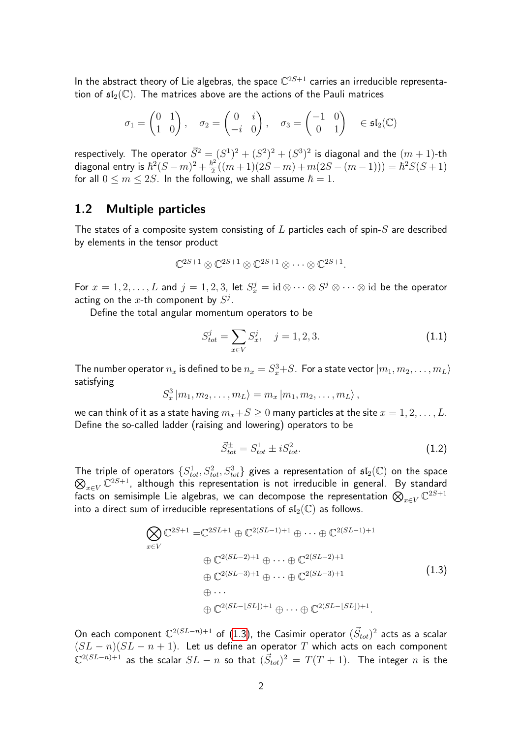In the abstract theory of Lie algebras, the space  $\mathbb{C}^{2S+1}$  carries an irreducible representation of  $\mathfrak{sl}_2(\mathbb{C})$ . The matrices above are the actions of the Pauli matrices

$$
\sigma_1 = \begin{pmatrix} 0 & 1 \\ 1 & 0 \end{pmatrix}, \quad \sigma_2 = \begin{pmatrix} 0 & i \\ -i & 0 \end{pmatrix}, \quad \sigma_3 = \begin{pmatrix} -1 & 0 \\ 0 & 1 \end{pmatrix} \in \mathfrak{sl}_2(\mathbb{C})
$$

respectively. The operator  $\vec{S}^2=(S^1)^2+(S^2)^2+(S^3)^2$  is diagonal and the  $(m+1)$ -th diagonal entry is  $\hbar^2(S-m)^2 + \frac{\hbar^2}{2}$  $\frac{\hbar^2}{2}((m+1)(2S-m)+m(2S-(m-1))) = \hbar^2 S(S+1)$ for all  $0 \le m \le 2S$ . In the following, we shall assume  $\hbar = 1$ .

#### 1.2 Multiple particles

The states of a composite system consisting of  $L$  particles each of spin- $S$  are described by elements in the tensor product

$$
\mathbb{C}^{2S+1}\otimes \mathbb{C}^{2S+1}\otimes \mathbb{C}^{2S+1}\otimes \cdots \otimes \mathbb{C}^{2S+1}.
$$

For  $x=1,2,\ldots,L$  and  $j=1,2,3$ , let  $S_x^j=\mathrm{id}\mathop{\otimes}\cdots\mathop{\otimes} S^j\mathop{\otimes}\cdots\mathop{\otimes}\mathrm{id}$  be the operator acting on the x-th component by  $S^j$ .

Define the total angular momentum operators to be

$$
S_{tot}^j = \sum_{x \in V} S_x^j, \quad j = 1, 2, 3. \tag{1.1}
$$

The number operator  $n_x$  is defined to be  $n_x=S_x^3{+}S.$  For a state vector  $\ket{m_1,m_2,\ldots,m_L}$ satisfying

$$
S_x^3 | m_1, m_2, \ldots, m_L \rangle = m_x | m_1, m_2, \ldots, m_L \rangle,
$$

we can think of it as a state having  $m_x+S\geq 0$  many particles at the site  $x=1,2,\ldots,L$ . Define the so-called ladder (raising and lowering) operators to be

$$
\vec{S}_{tot}^{\pm} = S_{tot}^1 \pm i S_{tot}^2.
$$
 (1.2)

The triple of operators  $\{S^1_{tot}, S^2_{tot}, S^3_{tot}\}$  gives a representation of  $\mathfrak{sl}_2(\mathbb{C})$  on the space  $\bigotimes_{x\in V}\mathbb{C}^{2S+1}$ , although this representation is not irreducible in general. By standard facts on semisimple Lie algebras, we can decompose the representation  $\bigotimes_{x\in V}\mathbb{C}^{2S+1}$ into a direct sum of irreducible representations of  $\mathfrak{sl}_2(\mathbb{C})$  as follows.

<span id="page-1-0"></span>
$$
\bigotimes_{x \in V} \mathbb{C}^{2S+1} = \mathbb{C}^{2SL+1} \oplus \mathbb{C}^{2(SL-1)+1} \oplus \cdots \oplus \mathbb{C}^{2(SL-1)+1}
$$
\n
$$
\oplus \mathbb{C}^{2(SL-2)+1} \oplus \cdots \oplus \mathbb{C}^{2(SL-2)+1}
$$
\n
$$
\oplus \mathbb{C}^{2(SL-3)+1} \oplus \cdots \oplus \mathbb{C}^{2(SL-3)+1}
$$
\n
$$
\oplus \cdots
$$
\n
$$
\oplus \mathbb{C}^{2(SL-[SL])+1} \oplus \cdots \oplus \mathbb{C}^{2(SL-[SL])+1}.
$$
\n(1.3)

On each component  $\mathbb{C}^{2(SL-n)+1}$  of [\(1.3\)](#page-1-0), the Casimir operator  $(\vec{S}_{tot})^2$  acts as a scalar  $(SL - n)(SL - n + 1)$ . Let us define an operator T which acts on each component  $\mathbb{C}^{2(SL-n)+1}$  as the scalar  $SL-n$  so that  $(\vec{S}_{tot})^2\,=\,T(T+1).$  The integer  $n$  is the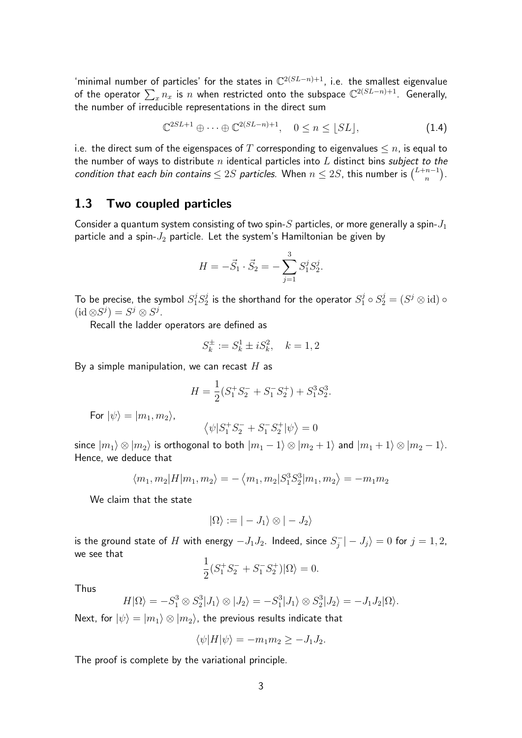'minimal number of particles' for the states in  $\mathbb{C}^{2(SL-n)+1}$ , i.e. the smallest eigenvalue of the operator  $\sum_x n_x$  is  $n$  when restricted onto the subspace  $\mathbb{C}^{2(SL-n)+1}.$  Generally, the number of irreducible representations in the direct sum

$$
\mathbb{C}^{2SL+1} \oplus \cdots \oplus \mathbb{C}^{2(SL-n)+1}, \quad 0 \le n \le \lfloor SL \rfloor, \tag{1.4}
$$

i.e. the direct sum of the eigenspaces of T corresponding to eigenvalues  $\leq n$ , is equal to the number of ways to distribute  $n$  identical particles into  $L$  distinct bins subject to the condition that each bin contains  $\leq 2S$  particles. When  $n \leq 2S$ , this number is  $\binom{L+n-1}{n}$  $\binom{n-1}{n}$ .

#### 1.3 Two coupled particles

Consider a quantum system consisting of two spin- $S$  particles, or more generally a spin- $J_1$ particle and a spin- $J_2$  particle. Let the system's Hamiltonian be given by

$$
H = -\vec{S}_1 \cdot \vec{S}_2 = -\sum_{j=1}^3 S_1^j S_2^j.
$$

To be precise, the symbol  $S_1^j S_2^j$  $S_2^j$  is the shorthand for the operator  $S_1^j \circ S_2^j = (S^j \otimes \mathrm{id}) \circ S_2^j$  $(id \otimes S^j) = S^j \otimes S^j.$ 

Recall the ladder operators are defined as

$$
S_k^\pm:=S_k^1\pm iS_k^2,\quad k=1,2
$$

By a simple manipulation, we can recast  $H$  as

$$
H = \frac{1}{2}(S_1^+S_2^- + S_1^-S_2^+) + S_1^3S_2^3.
$$

For  $|\psi\rangle = |m_1, m_2\rangle$ ,

$$
\left\langle \psi | S_1^+S_2^- + S_1^-S_2^+ |\psi \right\rangle = 0
$$

since  $|m_1\rangle \otimes |m_2\rangle$  is orthogonal to both  $|m_1 - 1\rangle \otimes |m_2 + 1\rangle$  and  $|m_1 + 1\rangle \otimes |m_2 - 1\rangle$ . Hence, we deduce that

$$
\langle m_1, m_2 | H | m_1, m_2 \rangle = -\langle m_1, m_2 | S_1^3 S_2^3 | m_1, m_2 \rangle = -m_1 m_2
$$

We claim that the state

$$
|\Omega\rangle:=|-J_1\rangle\otimes|-J_2\rangle
$$

is the ground state of  $H$  with energy  $-J_1J_2$ . Indeed, since  $S_j^ |J_j^{\prime}-J_j\rangle=0$  for  $j=1,2,$ we see that

$$
\frac{1}{2}(S_1^+S_2^- + S_1^-S_2^+)|\Omega\rangle = 0.
$$

Thus

$$
H|\Omega\rangle = -S_1^3 \otimes S_2^3|J_1\rangle \otimes |J_2\rangle = -S_1^3|J_1\rangle \otimes S_2^3|J_2\rangle = -J_1J_2|\Omega\rangle.
$$

Next, for  $|\psi\rangle = |m_1\rangle \otimes |m_2\rangle$ , the previous results indicate that

$$
\langle \psi | H | \psi \rangle = -m_1 m_2 \ge -J_1 J_2.
$$

The proof is complete by the variational principle.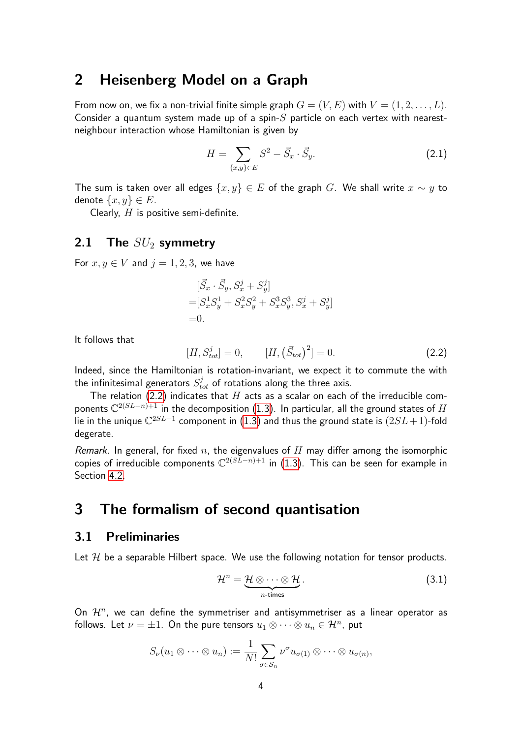## 2 Heisenberg Model on a Graph

From now on, we fix a non-trivial finite simple graph  $G = (V, E)$  with  $V = (1, 2, \ldots, L)$ . Consider a quantum system made up of a spin- $S$  particle on each vertex with nearestneighbour interaction whose Hamiltonian is given by

<span id="page-3-1"></span>
$$
H = \sum_{\{x,y\} \in E} S^2 - \vec{S}_x \cdot \vec{S}_y.
$$
 (2.1)

The sum is taken over all edges  $\{x, y\} \in E$  of the graph G. We shall write  $x \sim y$  to denote  $\{x, y\} \in E$ .

Clearly,  $H$  is positive semi-definite.

## 2.1 The  $SU_2$  symmetry

For  $x, y \in V$  and  $j = 1, 2, 3$ , we have

$$
\begin{aligned} [\vec{S}_x \cdot \vec{S}_y, S_x^j + S_y^j] \\ = [S_x^1 S_y^1 + S_x^2 S_y^2 + S_x^3 S_y^3, S_x^j + S_y^j] \\ = 0. \end{aligned}
$$

It follows that

<span id="page-3-0"></span>
$$
[H, S_{tot}^j] = 0, \t [H, (\vec{S}_{tot})^2] = 0.
$$
\t(2.2)

Indeed, since the Hamiltonian is rotation-invariant, we expect it to commute the with the infinitesimal generators  $S_{tot}^j$  of rotations along the three axis.

The relation [\(2.2\)](#page-3-0) indicates that  $H$  acts as a scalar on each of the irreducible components  $\mathbb{C}^{2(SL-n)+1}$  in the decomposition [\(1.3\)](#page-1-0). In particular, all the ground states of  $H$ lie in the unique  $\mathbb{C}^{2SL+1}$  component in  $(1.3)$  and thus the ground state is  $(2SL+1)$ -fold degerate.

Remark. In general, for fixed  $n$ , the eigenvalues of  $H$  may differ among the isomorphic copies of irreducible components  $\mathbb{C}^{2(S\bar{L}-n)+1}$  in [\(1.3\)](#page-1-0). This can be seen for example in Section [4.2.](#page-17-0)

# <span id="page-3-2"></span>3 The formalism of second quantisation

## 3.1 Preliminaries

Let  $H$  be a separable Hilbert space. We use the following notation for tensor products.

$$
\mathcal{H}^n = \underbrace{\mathcal{H} \otimes \cdots \otimes \mathcal{H}}_{n\text{-times}}.
$$
 (3.1)

On  $\mathcal{H}^n$ , we can define the symmetriser and antisymmetriser as a linear operator as follows. Let  $\nu = \pm 1$ . On the pure tensors  $u_1 \otimes \cdots \otimes u_n \in \mathcal{H}^n$ , put

$$
S_{\nu}(u_1 \otimes \cdots \otimes u_n) := \frac{1}{N!} \sum_{\sigma \in S_n} \nu^{\sigma} u_{\sigma(1)} \otimes \cdots \otimes u_{\sigma(n)},
$$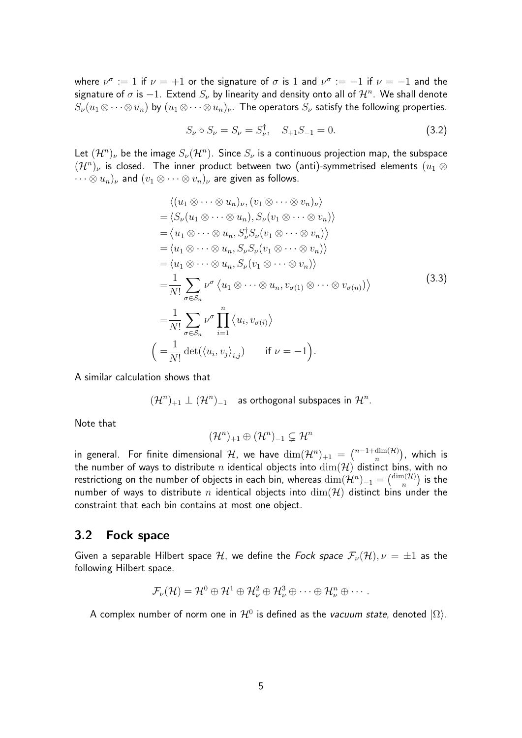where  $\nu^{\sigma} := 1$  if  $\nu = +1$  or the signature of  $\sigma$  is 1 and  $\nu^{\sigma} := -1$  if  $\nu = -1$  and the signature of  $\sigma$  is  $-1.$  Extend  $S_\nu$  by linearity and density onto all of  $\mathcal{H}^n.$  We shall denote  $S_{\nu}(u_1\otimes \cdots \otimes u_n)$  by  $(u_1\otimes \cdots \otimes u_n)_{\nu}$ . The operators  $S_{\nu}$  satisfy the following properties.

$$
S_{\nu} \circ S_{\nu} = S_{\nu} = S_{\nu}^{\dagger}, \quad S_{+1} S_{-1} = 0. \tag{3.2}
$$

Let  $({\cal H}^n)_\nu$  be the image  $S_\nu({\cal H}^n)_\nu$  Since  $S_\nu$  is a continuous projection map, the subspace  $(\mathcal{H}^n)_{\nu}$  is closed. The inner product between two (anti)-symmetrised elements  $(u_1\otimes$  $\cdots \otimes u_n)_\nu$  and  $(v_1 \otimes \cdots \otimes v_n)_\nu$  are given as follows.

<span id="page-4-0"></span>
$$
\langle (u_1 \otimes \cdots \otimes u_n)_\nu, (v_1 \otimes \cdots \otimes v_n)_\nu \rangle
$$
  
\n
$$
= \langle S_\nu(u_1 \otimes \cdots \otimes u_n), S_\nu(v_1 \otimes \cdots \otimes v_n) \rangle
$$
  
\n
$$
= \langle u_1 \otimes \cdots \otimes u_n, S_\nu^{\dagger} S_\nu(v_1 \otimes \cdots \otimes v_n) \rangle
$$
  
\n
$$
= \langle u_1 \otimes \cdots \otimes u_n, S_\nu S_\nu(v_1 \otimes \cdots \otimes v_n) \rangle
$$
  
\n
$$
= \langle u_1 \otimes \cdots \otimes u_n, S_\nu(v_1 \otimes \cdots \otimes v_n) \rangle
$$
  
\n
$$
= \frac{1}{N!} \sum_{\sigma \in S_n} \nu^{\sigma} \langle u_1 \otimes \cdots \otimes u_n, v_{\sigma(1)} \otimes \cdots \otimes v_{\sigma(n)} \rangle
$$
  
\n
$$
= \frac{1}{N!} \sum_{\sigma \in S_n} \nu^{\sigma} \prod_{i=1}^n \langle u_i, v_{\sigma(i)} \rangle
$$
  
\n
$$
= \frac{1}{N!} \det(\langle u_i, v_j \rangle_{i,j}) \quad \text{if } \nu = -1 \rangle.
$$
 (3.3)

A similar calculation shows that

$$
(\mathcal{H}^n)_{+1} \perp (\mathcal{H}^n)_{-1}
$$
 as orthogonal subspaces in  $\mathcal{H}^n$ .

Note that

$$
(\mathcal{H}^n)_{+1} \oplus (\mathcal{H}^n)_{-1} \subsetneq \mathcal{H}^n
$$

in general. For finite dimensional  $\mathcal H$ , we have  $\dim(\mathcal H^n)_{+1} \;=\; \binom{n-1+\dim(\mathcal H)^n}{n}$  $_{n}^{\dim(\mathcal{H})})$ , which is the number of ways to distribute n identical objects into  $\dim(\mathcal{H})$  distinct bins, with no restrictiong on the number of objects in each bin, whereas  $\dim(\mathcal{H}^n)_{-1} = \binom{\dim(\mathcal{H})}{n}$  $_{n}^{\mathrm{n}(\mathcal{H})})$  is the number of ways to distribute n identical objects into  $\dim(\mathcal{H})$  distinct bins under the constraint that each bin contains at most one object.

#### 3.2 Fock space

Given a separable Hilbert space H, we define the Fock space  $\mathcal{F}_{\nu}(\mathcal{H}), \nu = \pm 1$  as the following Hilbert space.

$$
\mathcal{F}_{\nu}(\mathcal{H})=\mathcal{H}^0\oplus\mathcal{H}^1\oplus\mathcal{H}^2_{\nu}\oplus\mathcal{H}^3_{\nu}\oplus\cdots\oplus\mathcal{H}^n_{\nu}\oplus\cdots.
$$

A complex number of norm one in  $\mathcal{H}^0$  is defined as the *vacuum state*, denoted  $|\Omega\rangle.$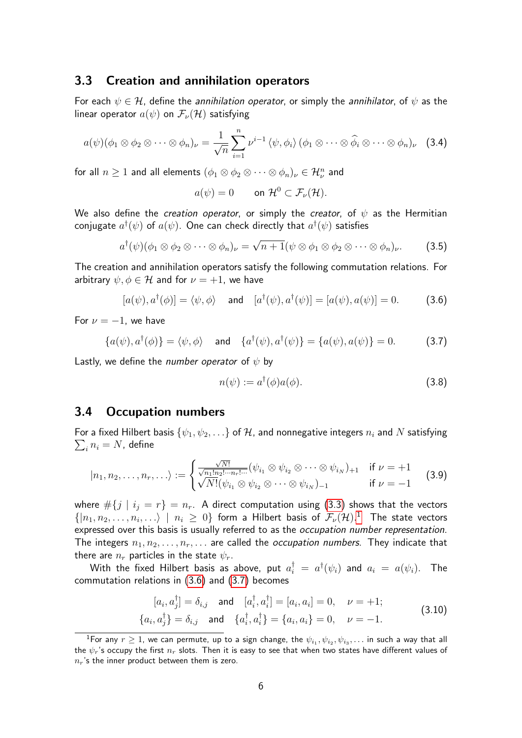#### 3.3 Creation and annihilation operators

For each  $\psi \in \mathcal{H}$ , define the *annihilation operator*, or simply the *annihilator*, of  $\psi$  as the linear operator  $a(\psi)$  on  $\mathcal{F}_{\nu}(\mathcal{H})$  satisfying

<span id="page-5-5"></span>
$$
a(\psi)(\phi_1 \otimes \phi_2 \otimes \cdots \otimes \phi_n)_\nu = \frac{1}{\sqrt{n}} \sum_{i=1}^n \nu^{i-1} \langle \psi, \phi_i \rangle (\phi_1 \otimes \cdots \otimes \widehat{\phi}_i \otimes \cdots \otimes \phi_n)_\nu
$$
 (3.4)

for all  $n\geq 1$  and all elements  $(\phi_1\otimes\phi_2\otimes\cdots\otimes\phi_n)_\nu\in\mathcal{H}^n_\nu$  and

$$
a(\psi) = 0 \qquad \text{on } \mathcal{H}^0 \subset \mathcal{F}_{\nu}(\mathcal{H}).
$$

We also define the *creation operator*, or simply the *creator*, of  $\psi$  as the Hermitian conjugate  $a^{\dagger}(\psi)$  of  $a(\psi).$  One can check directly that  $a^{\dagger}(\psi)$  satisfies

<span id="page-5-3"></span>
$$
a^{\dagger}(\psi)(\phi_1 \otimes \phi_2 \otimes \cdots \otimes \phi_n)_{\nu} = \sqrt{n+1}(\psi \otimes \phi_1 \otimes \phi_2 \otimes \cdots \otimes \phi_n)_{\nu}.
$$
 (3.5)

The creation and annihilation operators satisfy the following commutation relations. For arbitrary  $\psi, \phi \in \mathcal{H}$  and for  $\nu = +1$ , we have

<span id="page-5-1"></span>
$$
[a(\psi), a^{\dagger}(\phi)] = \langle \psi, \phi \rangle \quad \text{and} \quad [a^{\dagger}(\psi), a^{\dagger}(\psi)] = [a(\psi), a(\psi)] = 0. \tag{3.6}
$$

For  $\nu = -1$ , we have

<span id="page-5-2"></span>
$$
\{a(\psi), a^{\dagger}(\phi)\} = \langle \psi, \phi \rangle \quad \text{and} \quad \{a^{\dagger}(\psi), a^{\dagger}(\psi)\} = \{a(\psi), a(\psi)\} = 0. \tag{3.7}
$$

Lastly, we define the *number operator* of  $\psi$  by

$$
n(\psi) := a^{\dagger}(\phi)a(\phi). \tag{3.8}
$$

#### 3.4 Occupation numbers

For a fixed Hilbert basis  $\{\psi_1,\psi_2,\ldots\}$  of  $\mathcal H$ , and nonnegative integers  $n_i$  and  $N$  satisfying  $\sum_i n_i = N$ , define

<span id="page-5-4"></span>
$$
|n_1, n_2, \ldots, n_r, \ldots\rangle := \begin{cases} \frac{\sqrt{N!}}{\sqrt{n_1! n_2! \cdots n_r! \cdots}} (\psi_{i_1} \otimes \psi_{i_2} \otimes \cdots \otimes \psi_{i_N})_{+1} & \text{if } \nu = +1\\ \sqrt{N!} (\psi_{i_1} \otimes \psi_{i_2} \otimes \cdots \otimes \psi_{i_N})_{-1} & \text{if } \nu = -1 \end{cases}
$$
(3.9)

where  $\#\{j \mid i_j = r\} = n_r$ . A direct computation using [\(3.3\)](#page-4-0) shows that the vectors  $\{|n_1, n_2, \ldots, n_i, \ldots \rangle \mid n_i \geq 0\}$  $\{|n_1, n_2, \ldots, n_i, \ldots \rangle \mid n_i \geq 0\}$  $\{|n_1, n_2, \ldots, n_i, \ldots \rangle \mid n_i \geq 0\}$  form a Hilbert basis of  $\mathcal{F}_{\nu}(\mathcal{H})$ .<sup>1</sup> The state vectors expressed over this basis is usually referred to as the occupation number representation. The integers  $n_1, n_2, \ldots, n_r, \ldots$  are called the *occupation numbers*. They indicate that there are  $n_r$  particles in the state  $\psi_r$ .

With the fixed Hilbert basis as above, put  $a_i^\dagger\ =\ a^\dagger(\psi_i)$  and  $a_i\ =\ a(\psi_i).$  The commutation relations in [\(3.6\)](#page-5-1) and [\(3.7\)](#page-5-2) becomes

<span id="page-5-6"></span>
$$
[a_i, a_j^{\dagger}] = \delta_{i,j} \text{ and } [a_i^{\dagger}, a_i^{\dagger}] = [a_i, a_i] = 0, \quad \nu = +1; \{a_i, a_j^{\dagger}\} = \delta_{i,j} \text{ and } \{a_i^{\dagger}, a_i^{\dagger}\} = \{a_i, a_i\} = 0, \quad \nu = -1.
$$
\n(3.10)

<span id="page-5-0"></span> $^1$ For any  $r\geq 1$ , we can permute, up to a sign change, the  $\psi_{i_1},\psi_{i_2},\psi_{i_3},\dots$  in such a way that all the  $\psi_r$ 's occupy the first  $n_r$  slots. Then it is easy to see that when two states have different values of  $n_r$ 's the inner product between them is zero.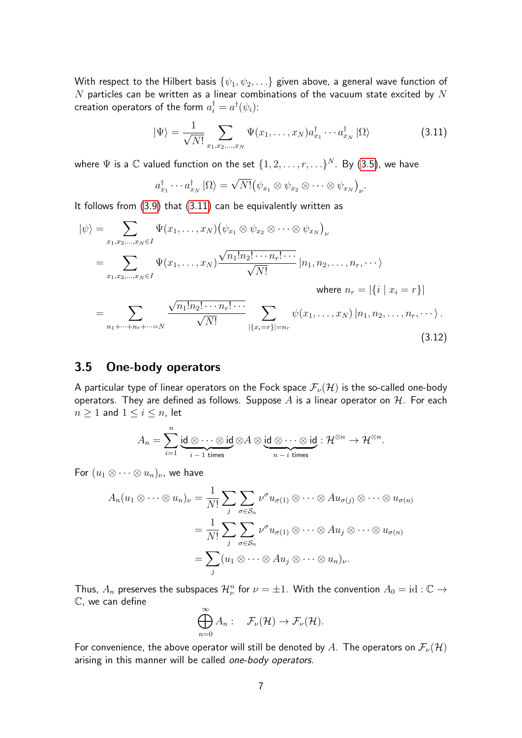With respect to the Hilbert basis  $\{\psi_1, \psi_2, \ldots\}$  given above, a general wave function of  $N$  particles can be written as a linear combinations of the vacuum state excited by  $N$ creation operators of the form  $a_i^\dagger = a^\dagger(\psi_i)$ :

<span id="page-6-0"></span>
$$
|\Psi\rangle = \frac{1}{\sqrt{N!}} \sum_{x_1, x_2, \dots, x_N} \Psi(x_1, \dots, x_N) a_{x_1}^\dagger \cdots a_{x_N}^\dagger |\Omega\rangle \tag{3.11}
$$

where  $\Psi$  is a  $\mathbb C$  valued function on the set  $\{1,2,\ldots,r,\ldots\}^N$ . By [\(3.5\)](#page-5-3), we have

$$
a_{x_1}^{\dagger} \cdots a_{x_N}^{\dagger} \ket{\Omega} = \sqrt{N!} (\psi_{x_1} \otimes \psi_{x_2} \otimes \cdots \otimes \psi_{x_N})_{\nu}.
$$

It follows from [\(3.9\)](#page-5-4) that [\(3.11\)](#page-6-0) can be equivalently written as

$$
|\psi\rangle = \sum_{x_1, x_2, ..., x_N \in I} \Psi(x_1, ..., x_N) (\psi_{x_1} \otimes \psi_{x_2} \otimes \cdots \otimes \psi_{x_N})_{\nu}
$$
  
\n
$$
= \sum_{x_1, x_2, ..., x_N \in I} \Psi(x_1, ..., x_N) \frac{\sqrt{n_1! n_2! \cdots n_r! \cdots}}{\sqrt{N!}} |n_1, n_2, ..., n_r, \cdots \rangle
$$
  
\nwhere  $n_r = |\{i \mid x_i = r\}|$   
\n
$$
= \sum_{n_1 + \cdots + n_r + \cdots = N} \frac{\sqrt{n_1! n_2! \cdots n_r! \cdots}}{\sqrt{N!}} \sum_{|\{x_i = r\}| = n_r} \psi(x_1, ..., x_N) |n_1, n_2, ..., n_r, \cdots \rangle.
$$
  
\n(3.12)

#### <span id="page-6-1"></span>3.5 One-body operators

A particular type of linear operators on the Fock space  $\mathcal{F}_{\nu}(\mathcal{H})$  is the so-called one-body operators. They are defined as follows. Suppose  $A$  is a linear operator on  $H$ . For each  $n \geq 1$  and  $1 \leq i \leq n$ , let

$$
A_n=\sum_{i=1}^n\underbrace{\mathsf{id}\otimes\cdots\otimes\mathsf{id}}_{i-1\text{ times}}\otimes A\otimes\underbrace{\mathsf{id}\otimes\cdots\otimes\mathsf{id}}_{n-i\text{ times}}:\mathcal{H}^{\otimes n}\to\mathcal{H}^{\otimes n}.
$$

For  $(u_1 \otimes \cdots \otimes u_n)_\nu$ , we have

$$
A_n(u_1 \otimes \cdots \otimes u_n)_\nu = \frac{1}{N!} \sum_j \sum_{\sigma \in S_n} \nu^{\sigma} u_{\sigma(1)} \otimes \cdots \otimes Au_{\sigma(j)} \otimes \cdots \otimes u_{\sigma(n)}
$$
  
= 
$$
\frac{1}{N!} \sum_j \sum_{\sigma \in S_n} \nu^{\sigma} u_{\sigma(1)} \otimes \cdots \otimes Au_j \otimes \cdots \otimes u_{\sigma(n)}
$$
  
= 
$$
\sum_j (u_1 \otimes \cdots \otimes Au_j \otimes \cdots \otimes u_n)_\nu.
$$

Thus,  $A_n$  preserves the subspaces  $\mathcal{H}^n_\nu$  for  $\nu=\pm 1$ . With the convention  $A_0=\mathrm{id}:\mathbb{C}\to\mathbb{C}$ C, we can define

$$
\bigoplus_{n=0}^{\infty} A_n: \quad \mathcal{F}_{\nu}(\mathcal{H}) \to \mathcal{F}_{\nu}(\mathcal{H}).
$$

For convenience, the above operator will still be denoted by A. The operators on  $\mathcal{F}_{\nu}(\mathcal{H})$ arising in this manner will be called one-body operators.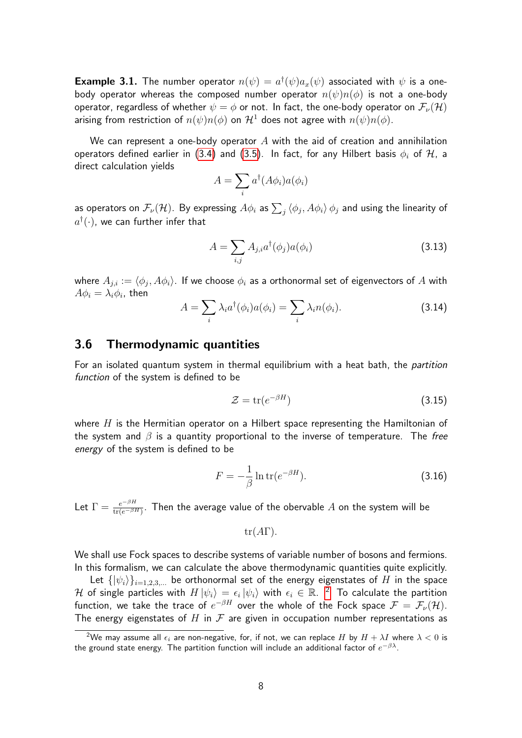**Example 3.1.** The number operator  $n(\psi) = a^{\dagger}(\psi) a_x(\psi)$  associated with  $\psi$  is a onebody operator whereas the composed number operator  $n(\psi)n(\phi)$  is not a one-body operator, regardless of whether  $\psi = \phi$  or not. In fact, the one-body operator on  $\mathcal{F}_{\nu}(\mathcal{H})$ arising from restriction of  $n(\psi)n(\phi)$  on  $\mathcal{H}^1$  does not agree with  $n(\psi)n(\phi)$ .

We can represent a one-body operator  $A$  with the aid of creation and annihilation operators defined earlier in [\(3.4\)](#page-5-5) and [\(3.5\)](#page-5-3). In fact, for any Hilbert basis  $\phi_i$  of  $\mathcal{H}$ , a direct calculation yields

$$
A = \sum_i a^{\dagger} (A \phi_i) a(\phi_i)
$$

as operators on  $\mathcal{F}_\nu(\mathcal{H})$ . By expressing  $A\phi_i$  as  $\sum_j\braket{\phi_j,A\phi_i}{\phi_j}$  and using the linearity of  $a^{\dagger}(\cdot)$ , we can further infer that

<span id="page-7-1"></span>
$$
A = \sum_{i,j} A_{j,i} a^{\dagger}(\phi_j) a(\phi_i)
$$
 (3.13)

where  $A_{j,i} := \langle \phi_j, A \phi_i \rangle$ . If we choose  $\phi_i$  as a orthonormal set of eigenvectors of  $A$  with  $A\phi_i=\lambda_i\phi_i$ , then

$$
A = \sum_{i} \lambda_i a^{\dagger}(\phi_i) a(\phi_i) = \sum_{i} \lambda_i n(\phi_i). \tag{3.14}
$$

#### 3.6 Thermodynamic quantities

For an isolated quantum system in thermal equilibrium with a heat bath, the *partition* function of the system is defined to be

$$
\mathcal{Z} = \text{tr}(e^{-\beta H})\tag{3.15}
$$

where  $H$  is the Hermitian operator on a Hilbert space representing the Hamiltonian of the system and  $\beta$  is a quantity proportional to the inverse of temperature. The free energy of the system is defined to be

$$
F = -\frac{1}{\beta} \ln \text{tr}(e^{-\beta H}).
$$
\n(3.16)

Let  $\Gamma=\frac{e^{-\beta H}}{\text{tr}(e^{-\beta H})}.$  Then the average value of the obervable  $A$  on the system will be

$$
tr(A\Gamma).
$$

We shall use Fock spaces to describe systems of variable number of bosons and fermions. In this formalism, we can calculate the above thermodynamic quantities quite explicitly.

Let  $\{|\psi_i\rangle\}_{i=1,2,3,...}$  be orthonormal set of the energy eigenstates of H in the space  ${\cal H}$  of single particles with  $H\ket{\psi_i}=\epsilon_i\ket{\psi_i}$  with  $\epsilon_i\in\mathbb{R}$ .  $^2$  $^2$  To calculate the partition function, we take the trace of  $e^{-\beta H}$  over the whole of the Fock space  $\mathcal{F}=\mathcal{F}_\nu(\mathcal{H}).$ The energy eigenstates of H in  $\mathcal F$  are given in occupation number representations as

<span id="page-7-0"></span><sup>&</sup>lt;sup>2</sup>We may assume all  $\epsilon_i$  are non-negative, for, if not, we can replace H by  $H + \lambda I$  where  $\lambda < 0$  is the ground state energy. The partition function will include an additional factor of  $e^{-\beta \lambda}.$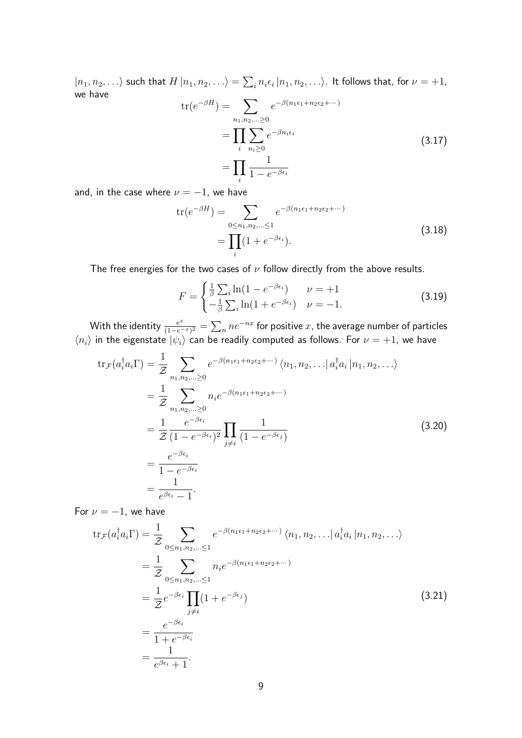$|n_1,n_2,\ldots\rangle$  such that  $H\ket{n_1,n_2,\ldots}=\sum_i n_i\epsilon_i\ket{n_1,n_2,\ldots}$ . It follows that, for  $\nu=+1$ , we have

$$
\operatorname{tr}(e^{-\beta H}) = \sum_{n_1, n_2, \dots \ge 0} e^{-\beta (n_1 \epsilon_1 + n_2 \epsilon_2 + \dots)} \n= \prod_i \sum_{n_i \ge 0} e^{-\beta n_i \epsilon_i} \n= \prod_i \frac{1}{1 - e^{-\beta \epsilon_i}}
$$
\n(3.17)

and, in the case where  $\nu = -1$ , we have

$$
\operatorname{tr}(e^{-\beta H}) = \sum_{0 \le n_1, n_2, \dots \le 1} e^{-\beta (n_1 \epsilon_1 + n_2 \epsilon_2 + \dots)} \n= \prod_i (1 + e^{-\beta \epsilon_i}).
$$
\n(3.18)

The free energies for the two cases of  $\nu$  follow directly from the above results.

$$
F = \begin{cases} \frac{1}{\beta} \sum_{i} \ln(1 - e^{-\beta \epsilon_i}) & \nu = +1\\ -\frac{1}{\beta} \sum_{i} \ln(1 + e^{-\beta \epsilon_i}) & \nu = -1. \end{cases}
$$
(3.19)

With the identity  $\frac{e^{x}}{(1-e^{-x})}$  $\frac{e^x}{(1-e^{-x})^2} = \sum_n n e^{-nx}$  for positive  $x$ , the average number of particles  $\langle n_i \rangle$  in the eigenstate  $|\psi_i\rangle$  can be readily computed as follows. For  $\nu = +1$ , we have

$$
\operatorname{tr}_{\mathcal{F}}(a_i^{\dagger} a_i \Gamma) = \frac{1}{\mathcal{Z}} \sum_{n_1, n_2, \dots \ge 0} e^{-\beta (n_1 \epsilon_1 + n_2 \epsilon_2 + \dots)} \langle n_1, n_2, \dots | a_i^{\dagger} a_i | n_1, n_2, \dots \rangle
$$
  
\n
$$
= \frac{1}{\mathcal{Z}} \sum_{n_1, n_2, \dots \ge 0} n_i e^{-\beta (n_1 \epsilon_1 + n_2 \epsilon_2 + \dots)}
$$
  
\n
$$
= \frac{1}{\mathcal{Z}} \frac{e^{-\beta \epsilon_i}}{(1 - e^{-\beta \epsilon_i})^2} \prod_{j \ne i} \frac{1}{(1 - e^{-\beta \epsilon_j})}
$$
  
\n
$$
= \frac{e^{-\beta \epsilon_i}}{1 - e^{-\beta \epsilon_i}}
$$
  
\n
$$
= \frac{1}{e^{\beta \epsilon_i} - 1}.
$$
  
\n(3.20)

For  $\nu = -1$ , we have

$$
\operatorname{tr}_{\mathcal{F}}(a_i^{\dagger} a_i \Gamma) = \frac{1}{\mathcal{Z}} \sum_{0 \le n_1, n_2, \dots \le 1} e^{-\beta (n_1 \epsilon_1 + n_2 \epsilon_2 + \dots)} \langle n_1, n_2, \dots | a_i^{\dagger} a_i | n_1, n_2, \dots \rangle
$$
  
\n
$$
= \frac{1}{\mathcal{Z}} \sum_{0 \le n_1, n_2, \dots \le 1} n_i e^{-\beta (n_1 \epsilon_1 + n_2 \epsilon_2 + \dots)}
$$
  
\n
$$
= \frac{1}{\mathcal{Z}} e^{-\beta \epsilon_i} \prod_{j \ne i} (1 + e^{-\beta \epsilon_j})
$$
  
\n
$$
= \frac{e^{-\beta \epsilon_i}}{1 + e^{-\beta \epsilon_i}}
$$
  
\n
$$
= \frac{1}{e^{\beta \epsilon_i} + 1}.
$$
  
\n(3.21)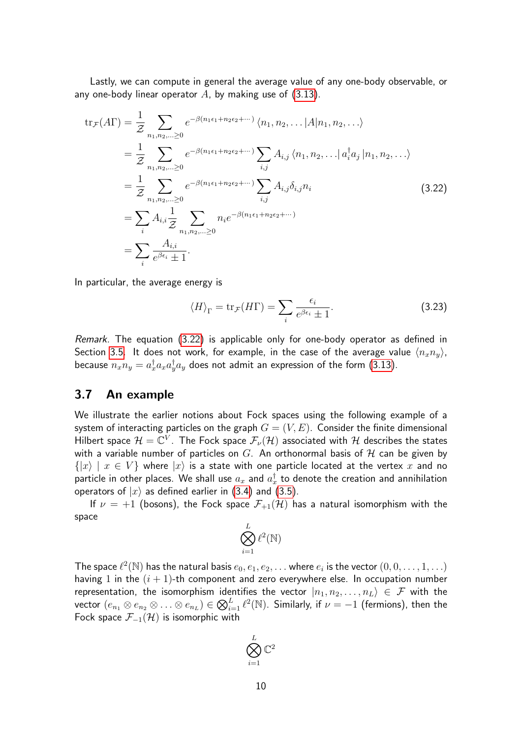Lastly, we can compute in general the average value of any one-body observable, or any one-body linear operator  $A$ , by making use of [\(3.13\)](#page-7-1).

<span id="page-9-0"></span>
$$
tr_{\mathcal{F}}(A\Gamma) = \frac{1}{\mathcal{Z}} \sum_{n_1, n_2, ... \ge 0} e^{-\beta (n_1 \epsilon_1 + n_2 \epsilon_2 + ...)} \langle n_1, n_2, ... | A | n_1, n_2, ... \rangle
$$
  
\n
$$
= \frac{1}{\mathcal{Z}} \sum_{n_1, n_2, ... \ge 0} e^{-\beta (n_1 \epsilon_1 + n_2 \epsilon_2 + ...)} \sum_{i,j} A_{i,j} \langle n_1, n_2, ... | a_i^{\dagger} a_j | n_1, n_2, ... \rangle
$$
  
\n
$$
= \frac{1}{\mathcal{Z}} \sum_{n_1, n_2, ... \ge 0} e^{-\beta (n_1 \epsilon_1 + n_2 \epsilon_2 + ...)} \sum_{i,j} A_{i,j} \delta_{i,j} n_i
$$
  
\n
$$
= \sum_{i} A_{i,i} \frac{1}{\mathcal{Z}} \sum_{n_1, n_2, ... \ge 0} n_i e^{-\beta (n_1 \epsilon_1 + n_2 \epsilon_2 + ...)}
$$
  
\n
$$
= \sum_{i} \frac{A_{i,i}}{e^{\beta \epsilon_i} \pm 1}.
$$
\n(3.22)

In particular, the average energy is

<span id="page-9-1"></span>
$$
\langle H \rangle_{\Gamma} = \text{tr}_{\mathcal{F}}(H\Gamma) = \sum_{i} \frac{\epsilon_{i}}{e^{\beta \epsilon_{i}} \pm 1}.
$$
 (3.23)

Remark. The equation [\(3.22\)](#page-9-0) is applicable only for one-body operator as defined in Section [3.5.](#page-6-1) It does not work, for example, in the case of the average value  $\langle n_xn_y\rangle$ , because  $n_xn_y=a^\dagger_xa_xa^\dagger_ya_y$  does not admit an expression of the form [\(3.13\)](#page-7-1).

#### 3.7 An example

We illustrate the earlier notions about Fock spaces using the following example of a system of interacting particles on the graph  $G = (V, E)$ . Consider the finite dimensional Hilbert space  $\mathcal{H}=\mathbb{C}^V$ . The Fock space  $\mathcal{F}_\nu(\mathcal{H})$  associated with  $\mathcal H$  describes the states with a variable number of particles on  $G$ . An orthonormal basis of  $H$  can be given by  $\{|x\rangle | x \in V\}$  where  $|x\rangle$  is a state with one particle located at the vertex x and no particle in other places. We shall use  $a_x$  and  $a^\dagger_x$  to denote the creation and annihilation operators of  $|x\rangle$  as defined earlier in [\(3.4\)](#page-5-5) and [\(3.5\)](#page-5-3).

If  $\nu = +1$  (bosons), the Fock space  $\mathcal{F}_{+1}(\mathcal{H})$  has a natural isomorphism with the space

$$
\bigotimes_{i=1}^L \ell^2(\mathbb{N})
$$

The space  $\ell^2(\mathbb{N})$  has the natural basis  $e_0, e_1, e_2, \ldots$  where  $e_i$  is the vector  $(0, 0, \ldots, 1, \ldots)$ having 1 in the  $(i + 1)$ -th component and zero everywhere else. In occupation number representation, the isomorphism identifies the vector  $|n_1, n_2, \ldots, n_L\rangle \in \mathcal{F}$  with the vector  $(e_{n_1}\otimes e_{n_2}\otimes\ldots\otimes e_{n_L})\in \bigotimes_{i=1}^L \ell^2(\mathbb{N}).$  Similarly, if  $\nu=-1$  (fermions), then the Fock space  $\mathcal{F}_{-1}(\mathcal{H})$  is isomorphic with

$$
\bigotimes_{i=1}^L \mathbb{C}^2
$$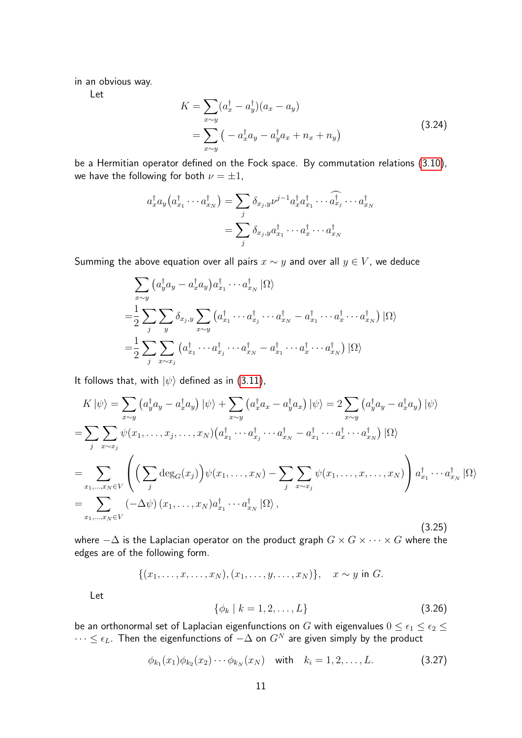in an obvious way.

Let

<span id="page-10-1"></span>
$$
K = \sum_{x \sim y} (a_x^{\dagger} - a_y^{\dagger})(a_x - a_y)
$$
  
= 
$$
\sum_{x \sim y} (-a_x^{\dagger} a_y - a_y^{\dagger} a_x + n_x + n_y)
$$
 (3.24)

be a Hermitian operator defined on the Fock space. By commutation relations [\(3.10\)](#page-5-6), we have the following for both  $\nu = \pm 1$ ,

$$
a_x^{\dagger} a_y (a_{x_1}^{\dagger} \cdots a_{x_N}^{\dagger}) = \sum_j \delta_{x_j, y} \nu^{j-1} a_x^{\dagger} a_{x_1}^{\dagger} \cdots \widehat{a_{x_j}^{\dagger}} \cdots a_{x_N}^{\dagger}
$$

$$
= \sum_j \delta_{x_j, y} a_{x_1}^{\dagger} \cdots a_x^{\dagger} \cdots a_{x_N}^{\dagger}
$$

Summing the above equation over all pairs  $x \sim y$  and over all  $y \in V$ , we deduce

$$
\sum_{x \sim y} \left( a_y^{\dagger} a_y - a_x^{\dagger} a_y \right) a_{x_1}^{\dagger} \cdots a_{x_N}^{\dagger} \left| \Omega \right\rangle
$$
  
\n
$$
= \frac{1}{2} \sum_j \sum_y \delta_{x_j, y} \sum_{x \sim y} \left( a_{x_1}^{\dagger} \cdots a_{x_j}^{\dagger} \cdots a_{x_N}^{\dagger} - a_{x_1}^{\dagger} \cdots a_x^{\dagger} \cdots a_{x_N}^{\dagger} \right) \left| \Omega \right\rangle
$$
  
\n
$$
= \frac{1}{2} \sum_j \sum_{x \sim x_j} \left( a_{x_1}^{\dagger} \cdots a_{x_j}^{\dagger} \cdots a_{x_N}^{\dagger} - a_{x_1}^{\dagger} \cdots a_x^{\dagger} \cdots a_{x_N}^{\dagger} \right) \left| \Omega \right\rangle
$$

It follows that, with  $|\psi\rangle$  defined as in [\(3.11\)](#page-6-0),

<span id="page-10-2"></span>
$$
K|\psi\rangle = \sum_{x \sim y} \left( a_y^{\dagger} a_y - a_x^{\dagger} a_y \right) |\psi\rangle + \sum_{x \sim y} \left( a_x^{\dagger} a_x - a_y^{\dagger} a_x \right) |\psi\rangle = 2 \sum_{x \sim y} \left( a_y^{\dagger} a_y - a_x^{\dagger} a_y \right) |\psi\rangle
$$
  
\n
$$
= \sum_{j} \sum_{x \sim x_j} \psi(x_1, \dots, x_j, \dots, x_N) \left( a_{x_1}^{\dagger} \cdots a_{x_j}^{\dagger} \cdots a_{x_N}^{\dagger} - a_{x_1}^{\dagger} \cdots a_{x_N}^{\dagger} \cdots a_{x_N}^{\dagger} \right) |\Omega\rangle
$$
  
\n
$$
= \sum_{x_1, \dots, x_N \in V} \left( \left( \sum_{j} \deg_G(x_j) \right) \psi(x_1, \dots, x_N) - \sum_{j} \sum_{x \sim x_j} \psi(x_1, \dots, x, \dots, x_N) \right) a_{x_1}^{\dagger} \cdots a_{x_N}^{\dagger} |\Omega\rangle
$$
  
\n
$$
= \sum_{x_1, \dots, x_N \in V} \left( -\Delta \psi \right) (x_1, \dots, x_N) a_{x_1}^{\dagger} \cdots a_{x_N}^{\dagger} |\Omega\rangle,
$$
  
\n(3.25)

where  $-\Delta$  is the Laplacian operator on the product graph  $G \times G \times \cdots \times G$  where the edges are of the following form.

$$
\{(x_1,\ldots,x,\ldots,x_N),(x_1,\ldots,y,\ldots,x_N)\},\quad x\sim y\ \text{in }G.
$$

Let

$$
\{\phi_k \mid k = 1, 2, \dots, L\} \tag{3.26}
$$

be an orthonormal set of Laplacian eigenfunctions on  $G$  with eigenvalues  $0\leq \epsilon_1\leq \epsilon_2\leq$  $\cdots \leq \epsilon_L.$  Then the eigenfunctions of  $-\Delta$  on  $G^N$  are given simply by the product

<span id="page-10-0"></span>
$$
\phi_{k_1}(x_1)\phi_{k_2}(x_2)\cdots\phi_{k_N}(x_N) \quad \text{with} \quad k_i=1,2,\ldots,L. \tag{3.27}
$$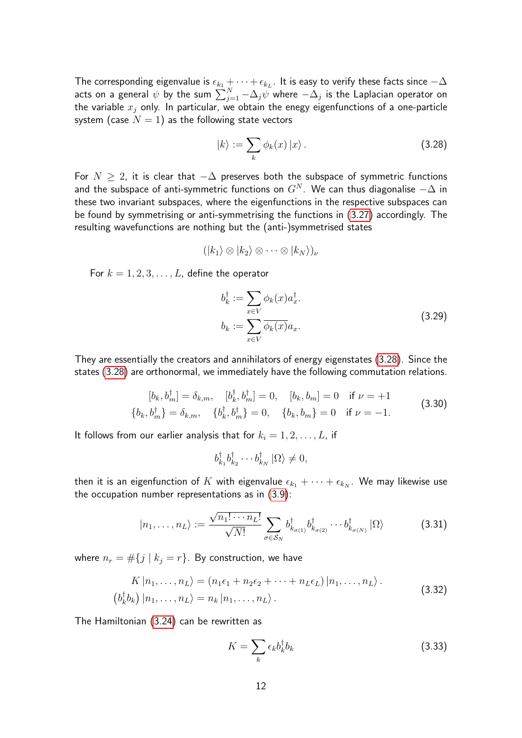The corresponding eigenvalue is  $\epsilon_{k_1} + \cdots + \epsilon_{k_L}.$  It is easy to verify these facts since  $-\Delta$ acts on a general  $\psi$  by the sum  $\sum_{j=1}^N -\Delta_j\tilde{\psi}$  where  $-\Delta_j$  is the Laplacian operator on the variable  $x_j$  only. In particular, we obtain the enegy eigenfunctions of a one-particle system (case  $N = 1$ ) as the following state vectors

<span id="page-11-0"></span>
$$
|k\rangle := \sum_{k} \phi_k(x) |x\rangle. \tag{3.28}
$$

For  $N \geq 2$ , it is clear that  $-\Delta$  preserves both the subspace of symmetric functions and the subspace of anti-symmetric functions on  $G^N$ . We can thus diagonalise  $-\Delta$  in these two invariant subspaces, where the eigenfunctions in the respective subspaces can be found by symmetrising or anti-symmetrising the functions in [\(3.27\)](#page-10-0) accordingly. The resulting wavefunctions are nothing but the (anti-)symmetrised states

$$
(|k_1\rangle\otimes |k_2\rangle\otimes\cdots\otimes |k_N\rangle)_\nu
$$

For  $k = 1, 2, 3, \ldots, L$ , define the operator

$$
b_k^{\dagger} := \sum_{x \in V} \phi_k(x) a_x^{\dagger}.
$$
  
\n
$$
b_k := \sum_{x \in V} \overline{\phi_k(x)} a_x.
$$
\n(3.29)

They are essentially the creators and annihilators of energy eigenstates [\(3.28\)](#page-11-0). Since the states [\(3.28\)](#page-11-0) are orthonormal, we immediately have the following commutation relations.

$$
[b_k, b_m^{\dagger}] = \delta_{k,m}, \quad [b_k^{\dagger}, b_m^{\dagger}] = 0, \quad [b_k, b_m] = 0 \quad \text{if } \nu = +1
$$
  

$$
\{b_k, b_m^{\dagger}\} = \delta_{k,m}, \quad \{b_k^{\dagger}, b_m^{\dagger}\} = 0, \quad \{b_k, b_m\} = 0 \quad \text{if } \nu = -1.
$$
 (3.30)

It follows from our earlier analysis that for  $k_i = 1, 2, \ldots, L$ , if

$$
b_{k_1}^{\dagger}b_{k_2}^{\dagger}\cdots b_{k_N}^{\dagger}|\Omega\rangle \neq 0,
$$

then it is an eigenfunction of  $K$  with eigenvalue  $\epsilon_{k_1} + \cdots + \epsilon_{k_N}.$  We may likewise use the occupation number representations as in [\(3.9\)](#page-5-4):

$$
|n_1, \ldots, n_L\rangle := \frac{\sqrt{n_1! \cdots n_L!}}{\sqrt{N!}} \sum_{\sigma \in \mathcal{S}_N} b_{k_{\sigma(1)}}^\dagger b_{k_{\sigma(2)}}^\dagger \cdots b_{k_{\sigma(N)}}^\dagger |\Omega\rangle \tag{3.31}
$$

where  $n_r = #\{j \mid k_j = r\}$ . By construction, we have

$$
K |n_1, \dots, n_L\rangle = (n_1\epsilon_1 + n_2\epsilon_2 + \dots + n_L\epsilon_L) |n_1, \dots, n_L\rangle.
$$
  
\n
$$
(b_k^{\dagger}b_k) |n_1, \dots, n_L\rangle = n_k |n_1, \dots, n_L\rangle.
$$
 (3.32)

The Hamiltonian [\(3.24\)](#page-10-1) can be rewritten as

$$
K = \sum_{k} \epsilon_{k} b_{k}^{\dagger} b_{k} \tag{3.33}
$$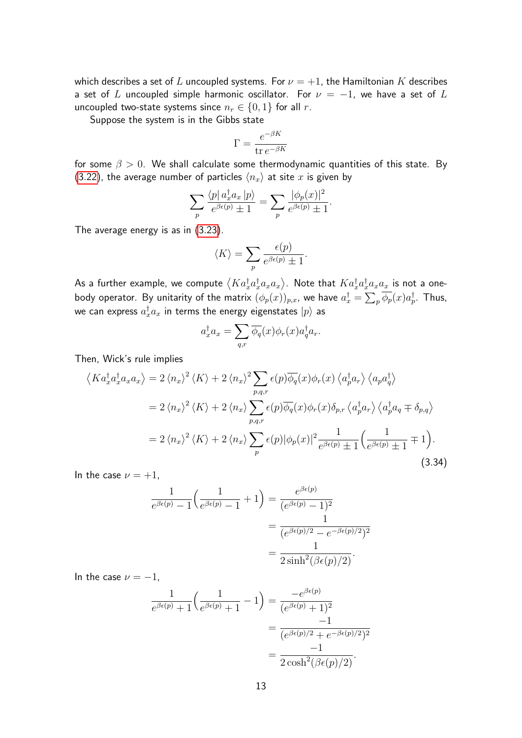which describes a set of L uncoupled systems. For  $\nu = +1$ , the Hamiltonian K describes a set of L uncoupled simple harmonic oscillator. For  $\nu = -1$ , we have a set of L uncoupled two-state systems since  $n_r \in \{0,1\}$  for all r.

Suppose the system is in the Gibbs state

$$
\Gamma = \frac{e^{-\beta K}}{\text{tr } e^{-\beta K}}
$$

for some  $\beta > 0$ . We shall calculate some thermodynamic quantities of this state. By [\(3.22\)](#page-9-0), the average number of particles  $\langle n_x \rangle$  at site x is given by

$$
\sum_{p} \frac{\langle p | a_x^{\dagger} a_x | p \rangle}{e^{\beta \epsilon(p)} \pm 1} = \sum_{p} \frac{|\phi_p(x)|^2}{e^{\beta \epsilon(p)} \pm 1}.
$$

The average energy is as in [\(3.23\)](#page-9-1).

$$
\langle K \rangle = \sum_{p} \frac{\epsilon(p)}{e^{\beta \epsilon(p)} \pm 1}.
$$

As a further example, we compute  $\left\langle Ka^\dagger_xa^\dagger_xa_xa_x\right\rangle$ . Note that  $Ka^\dagger_xa^\dagger_xa_xa_x$  is not a onebody operator. By unitarity of the matrix  $(\phi_p(x))_{p,x}$ , we have  $a_x^\dagger = \sum_p \overline{\phi_p}(x) a_p^\dagger$ . Thus, we can express  $a^\dagger_x a_x$  in terms the energy eigenstates  $|p\rangle$  as

$$
a_x^{\dagger} a_x = \sum_{q,r} \overline{\phi_q}(x) \phi_r(x) a_q^{\dagger} a_r.
$$

Then, Wick's rule implies

<span id="page-12-0"></span>
$$
\langle Ka_x^{\dagger}a_x^{\dagger}a_xa_x\rangle = 2 \langle n_x \rangle^2 \langle K \rangle + 2 \langle n_x \rangle^2 \sum_{p,q,r} \epsilon(p) \overline{\phi_q}(x) \phi_r(x) \langle a_p^{\dagger}a_r \rangle \langle a_p a_q^{\dagger} \rangle
$$
  

$$
= 2 \langle n_x \rangle^2 \langle K \rangle + 2 \langle n_x \rangle \sum_{p,q,r} \epsilon(p) \overline{\phi_q}(x) \phi_r(x) \delta_{p,r} \langle a_p^{\dagger}a_r \rangle \langle a_p^{\dagger}a_q \mp \delta_{p,q} \rangle
$$
  

$$
= 2 \langle n_x \rangle^2 \langle K \rangle + 2 \langle n_x \rangle \sum_p \epsilon(p) |\phi_p(x)|^2 \frac{1}{e^{\beta \epsilon(p)}} \frac{1}{\pm 1} \Big(\frac{1}{e^{\beta \epsilon(p)}} \pm 1 \mp 1\Big).
$$
(3.34)

In the case  $\nu = +1$ ,

$$
\frac{1}{e^{\beta\epsilon(p)} - 1} \left( \frac{1}{e^{\beta\epsilon(p)} - 1} + 1 \right) = \frac{e^{\beta\epsilon(p)}}{(e^{\beta\epsilon(p)} - 1)^2}
$$

$$
= \frac{1}{(e^{\beta\epsilon(p)/2} - e^{-\beta\epsilon(p)/2})^2}
$$

$$
= \frac{1}{2\sinh^2(\beta\epsilon(p)/2)}.
$$

In the case  $\nu = -1$ ,

$$
\frac{1}{e^{\beta\epsilon(p)}+1}\left(\frac{1}{e^{\beta\epsilon(p)}+1}-1\right) = \frac{-e^{\beta\epsilon(p)}}{(e^{\beta\epsilon(p)}+1)^2} \\
= \frac{-1}{(e^{\beta\epsilon(p)/2}+e^{-\beta\epsilon(p)/2})^2} \\
= \frac{-1}{2\cosh^2(\beta\epsilon(p)/2)}.
$$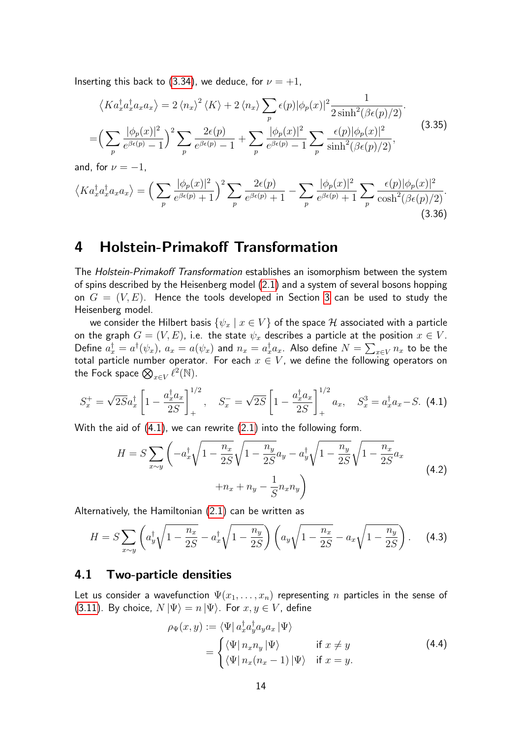Inserting this back to [\(3.34\)](#page-12-0), we deduce, for  $\nu = +1$ ,

$$
\langle Ka_x^{\dagger}a_x^{\dagger}a_xa_x\rangle = 2\langle n_x\rangle^2 \langle K\rangle + 2\langle n_x\rangle \sum_p \epsilon(p)|\phi_p(x)|^2 \frac{1}{2\sinh^2(\beta\epsilon(p)/2)}.
$$
  
= 
$$
\Big(\sum_p \frac{|\phi_p(x)|^2}{e^{\beta\epsilon(p)} - 1}\Big)^2 \sum_p \frac{2\epsilon(p)}{e^{\beta\epsilon(p)} - 1} + \sum_p \frac{|\phi_p(x)|^2}{e^{\beta\epsilon(p)} - 1} \sum_p \frac{\epsilon(p)|\phi_p(x)|^2}{\sinh^2(\beta\epsilon(p)/2)},
$$
(3.35)

and, for  $\nu = -1$ ,

$$
\langle Ka_x^{\dagger}a_x^{\dagger}a_xa_x\rangle = \left(\sum_p \frac{|\phi_p(x)|^2}{e^{\beta\epsilon(p)}+1}\right)^2 \sum_p \frac{2\epsilon(p)}{e^{\beta\epsilon(p)}+1} - \sum_p \frac{|\phi_p(x)|^2}{e^{\beta\epsilon(p)}+1} \sum_p \frac{\epsilon(p)|\phi_p(x)|^2}{\cosh^2(\beta\epsilon(p)/2)}.
$$
\n(3.36)

# 4 Holstein-Primakoff Transformation

The Holstein-Primakoff Transformation establishes an isomorphism between the system of spins described by the Heisenberg model [\(2.1\)](#page-3-1) and a system of several bosons hopping on  $G = (V, E)$ . Hence the tools developed in Section [3](#page-3-2) can be used to study the Heisenberg model.

we consider the Hilbert basis  $\{\psi_x \mid x \in V\}$  of the space  $\mathcal H$  associated with a particle on the graph  $G = (V, E)$ , i.e. the state  $\psi_x$  describes a particle at the position  $x \in V$ . Define  $a_x^\dagger=a^\dagger(\psi_x)$ ,  $a_x=a(\psi_x)$  and  $n_x=a_x^\dagger a_x$ . Also define  $N=\sum_{x\in V} n_x$  to be the total particle number operator. For each  $x \in V$ , we define the following operators on the Fock space  $\bigotimes_{x\in V}\ell^2(\mathbb{N})$ .

<span id="page-13-0"></span>
$$
S_x^+ = \sqrt{2S}a_x^{\dagger} \left[ 1 - \frac{a_x^{\dagger} a_x}{2S} \right]_+^{1/2}, \quad S_x^- = \sqrt{2S} \left[ 1 - \frac{a_x^{\dagger} a_x}{2S} \right]_+^{1/2} a_x, \quad S_x^3 = a_x^{\dagger} a_x - S. \tag{4.1}
$$

With the aid of [\(4.1\)](#page-13-0), we can rewrite [\(2.1\)](#page-3-1) into the following form.

<span id="page-13-1"></span>
$$
H = S \sum_{x \sim y} \left( -a_x^{\dagger} \sqrt{1 - \frac{n_x}{2S}} \sqrt{1 - \frac{n_y}{2S}} a_y - a_y^{\dagger} \sqrt{1 - \frac{n_y}{2S}} \sqrt{1 - \frac{n_x}{2S}} a_x + n_x + n_y - \frac{1}{S} n_x n_y \right)
$$
(4.2)

Alternatively, the Hamiltonian [\(2.1\)](#page-3-1) can be written as

<span id="page-13-2"></span>
$$
H = S \sum_{x \sim y} \left( a_y^{\dagger} \sqrt{1 - \frac{n_x}{2S}} - a_x^{\dagger} \sqrt{1 - \frac{n_y}{2S}} \right) \left( a_y \sqrt{1 - \frac{n_x}{2S}} - a_x \sqrt{1 - \frac{n_y}{2S}} \right). \tag{4.3}
$$

#### 4.1 Two-particle densities

Let us consider a wavefunction  $\Psi(x_1,\ldots,x_n)$  representing n particles in the sense of [\(3.11\)](#page-6-0). By choice,  $N | \Psi \rangle = n | \Psi \rangle$ . For  $x, y \in V$ , define

$$
\rho_{\Psi}(x, y) := \langle \Psi | a_x^{\dagger} a_y^{\dagger} a_y a_x | \Psi \rangle
$$
  
= 
$$
\begin{cases} \langle \Psi | n_x n_y | \Psi \rangle & \text{if } x \neq y \\ \langle \Psi | n_x (n_x - 1) | \Psi \rangle & \text{if } x = y. \end{cases}
$$
 (4.4)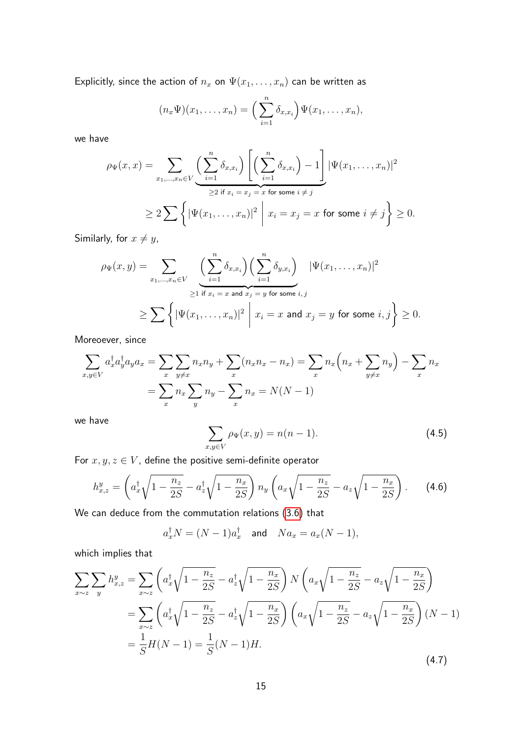Explicitly, since the action of  $n_x$  on  $\Psi(x_1, \ldots, x_n)$  can be written as

$$
(n_x\Psi)(x_1,\ldots,x_n)=\Big(\sum_{i=1}^n\delta_{x,x_i}\Big)\Psi(x_1,\ldots,x_n),
$$

we have

$$
\rho_{\Psi}(x,x) = \sum_{x_1,\dots,x_n \in V} \underbrace{\left(\sum_{i=1}^n \delta_{x,x_i}\right) \left[ \left(\sum_{i=1}^n \delta_{x,x_i}\right) - 1 \right]}_{\geq 2 \text{ if } x_i = x_j = x \text{ for some } i \neq j} |\Psi(x_1,\dots,x_n)|^2
$$
  

$$
\geq 2 \sum \left\{ |\Psi(x_1,\dots,x_n)|^2 \mid x_i = x_j = x \text{ for some } i \neq j \right\} \geq 0.
$$

Similarly, for  $x \neq y$ ,

$$
\rho_{\Psi}(x,y) = \sum_{x_1,\dots,x_n \in V} \left( \sum_{i=1}^n \delta_{x,x_i} \right) \left( \sum_{i=1}^n \delta_{y,x_i} \right) \quad |\Psi(x_1,\dots,x_n)|^2
$$
  
\n
$$
\geq \sum \left\{ |\Psi(x_1,\dots,x_n)|^2 \; \middle| \; x_i = x \text{ and } x_j = y \text{ for some } i,j \right\} \geq 0.
$$

Moreoever, since

$$
\sum_{x,y \in V} a_x^{\dagger} a_y^{\dagger} a_y a_x = \sum_{x} \sum_{y \neq x} n_x n_y + \sum_{x} (n_x n_x - n_x) = \sum_{x} n_x \left( n_x + \sum_{y \neq x} n_y \right) - \sum_{x} n_x
$$

$$
= \sum_{x} n_x \sum_{y} n_y - \sum_{x} n_x = N(N-1)
$$

we have

<span id="page-14-0"></span>
$$
\sum_{x,y \in V} \rho_{\Psi}(x,y) = n(n-1).
$$
 (4.5)

For  $x, y, z \in V$ , define the positive semi-definite operator

$$
h_{x,z}^y = \left( a_x^{\dagger} \sqrt{1 - \frac{n_z}{2S}} - a_z^{\dagger} \sqrt{1 - \frac{n_x}{2S}} \right) n_y \left( a_x \sqrt{1 - \frac{n_z}{2S}} - a_z \sqrt{1 - \frac{n_x}{2S}} \right). \tag{4.6}
$$

We can deduce from the commutation relations [\(3.6\)](#page-5-1) that

$$
a_x^{\dagger} N = (N-1)a_x^{\dagger} \quad \text{and} \quad Na_x = a_x(N-1),
$$

which implies that

$$
\sum_{x \sim z} \sum_{y} h_{x,z}^{y} = \sum_{x \sim z} \left( a_x^{\dagger} \sqrt{1 - \frac{n_z}{2S}} - a_z^{\dagger} \sqrt{1 - \frac{n_x}{2S}} \right) N \left( a_x \sqrt{1 - \frac{n_z}{2S}} - a_z \sqrt{1 - \frac{n_x}{2S}} \right)
$$
  
= 
$$
\sum_{x \sim z} \left( a_x^{\dagger} \sqrt{1 - \frac{n_z}{2S}} - a_z^{\dagger} \sqrt{1 - \frac{n_x}{2S}} \right) \left( a_x \sqrt{1 - \frac{n_z}{2S}} - a_z \sqrt{1 - \frac{n_x}{2S}} \right) (N - 1)
$$
  
= 
$$
\frac{1}{S} H(N - 1) = \frac{1}{S} (N - 1) H.
$$
 (4.7)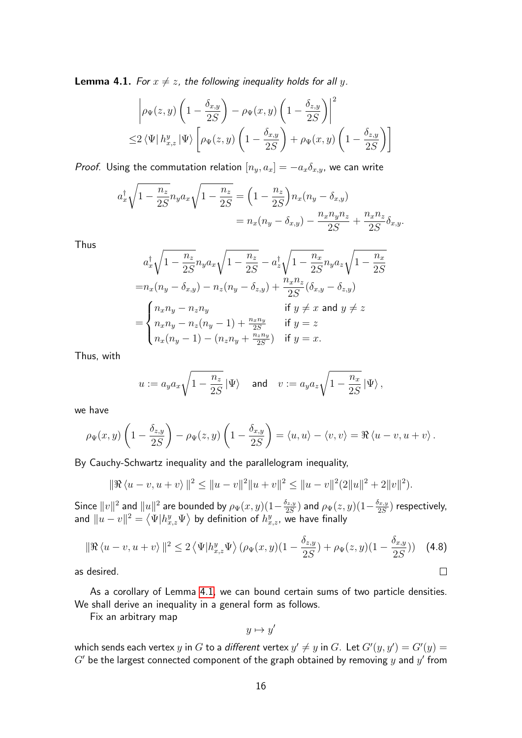<span id="page-15-0"></span>**Lemma 4.1.** For  $x \neq z$ , the following inequality holds for all y.

$$
\left| \rho_{\Psi}(z,y) \left( 1 - \frac{\delta_{x,y}}{2S} \right) - \rho_{\Psi}(x,y) \left( 1 - \frac{\delta_{z,y}}{2S} \right) \right|^2
$$
  

$$
\leq 2 \left\langle \Psi \right| h_{x,z}^y \left| \Psi \right\rangle \left[ \rho_{\Psi}(z,y) \left( 1 - \frac{\delta_{x,y}}{2S} \right) + \rho_{\Psi}(x,y) \left( 1 - \frac{\delta_{z,y}}{2S} \right) \right]
$$

*Proof.* Using the commutation relation  $[n_y, a_x] = -a_x \delta_{x,y}$ , we can write

$$
a_x^{\dagger} \sqrt{1 - \frac{n_z}{2S}} n_y a_x \sqrt{1 - \frac{n_z}{2S}} = \left(1 - \frac{n_z}{2S}\right) n_x (n_y - \delta_{x,y})
$$
  
= 
$$
n_x (n_y - \delta_{x,y}) - \frac{n_x n_y n_z}{2S} + \frac{n_x n_z}{2S} \delta_{x,y}.
$$

Thus

$$
a_x^{\dagger} \sqrt{1 - \frac{n_z}{2S}} n_y a_x \sqrt{1 - \frac{n_z}{2S}} - a_z^{\dagger} \sqrt{1 - \frac{n_x}{2S}} n_y a_z \sqrt{1 - \frac{n_x}{2S}}
$$
  
=
$$
n_x (n_y - \delta_{x,y}) - n_z (n_y - \delta_{z,y}) + \frac{n_x n_z}{2S} (\delta_{x,y} - \delta_{z,y})
$$
  
=
$$
\begin{cases} n_x n_y - n_z n_y & \text{if } y \neq x \text{ and } y \neq z \\ n_x n_y - n_z (n_y - 1) + \frac{n_x n_y}{2S} & \text{if } y = z \\ n_x (n_y - 1) - (n_z n_y + \frac{n_z n_y}{2S}) & \text{if } y = x. \end{cases}
$$

Thus, with

$$
u := a_y a_x \sqrt{1 - \frac{n_z}{2S}} \ket{\Psi} \quad \text{and} \quad v := a_y a_z \sqrt{1 - \frac{n_x}{2S}} \ket{\Psi},
$$

we have

$$
\rho_{\Psi}(x,y)\left(1-\frac{\delta_{z,y}}{2S}\right)-\rho_{\Psi}(z,y)\left(1-\frac{\delta_{x,y}}{2S}\right)=\langle u,u\rangle-\langle v,v\rangle=\Re\langle u-v,u+v\rangle.
$$

By Cauchy-Schwartz inequality and the parallelogram inequality,

$$
\|\Re\langle u-v, u+v\rangle\|^2 \le \|u-v\|^2 \|u+v\|^2 \le \|u-v\|^2 (2\|u\|^2 + 2\|v\|^2).
$$

Since  $\|v\|^2$  and  $\|u\|^2$  are bounded by  $\rho_\Psi(x,y)(1-\frac{\delta_{z,y}}{2S})$  $(\frac{\delta_{z,y}}{2S})$  and  $\rho_\Psi(z,y) (1-\frac{\delta_{x,y}}{2S})$  $\frac{\partial x,y}{\partial S}$ ) respectively, and  $\|u-v\|^2 = \left\langle \Psi | h_{x,z}^y \Psi \right\rangle$  by definition of  $h_{x,z}^y,$  we have finally

$$
\|\Re\left\langle u-v, u+v\right\rangle\|^2 \le 2\left\langle \Psi|h_{x,z}^y\Psi\rangle \left(\rho_\Psi(x,y)(1-\frac{\delta_{z,y}}{2S}) + \rho_\Psi(z,y)(1-\frac{\delta_{x,y}}{2S})\right) \tag{4.8}
$$
  
desired.

as desired.

As a corollary of Lemma [4.1,](#page-15-0) we can bound certain sums of two particle densities. We shall derive an inequality in a general form as follows.

Fix an arbitrary map

$$
y\mapsto y'
$$

which sends each vertex  $y$  in  $G$  to a different vertex  $y' \neq y$  in  $G$ . Let  $G'(y,y') = G'(y) = 0$  $G'$  be the largest connected component of the graph obtained by removing  $y$  and  $y'$  from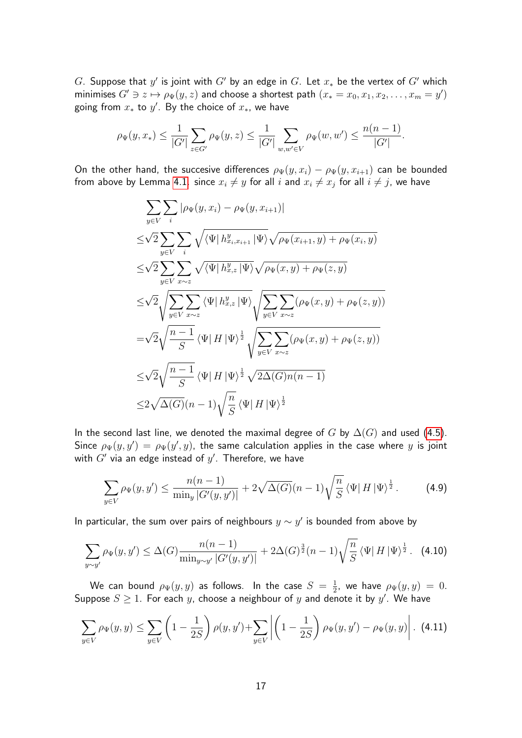$G$ . Suppose that  $y'$  is joint with  $G'$  by an edge in  $G$ . Let  $x_*$  be the vertex of  $G'$  which minimises  $G' \ni z \mapsto \rho_{\Psi}(y, z)$  and choose a shortest path  $(x_* = x_0, x_1, x_2, \dots, x_m = y')$ going from  $x_*$  to  $y'$ . By the choice of  $x_*$ , we have

$$
\rho_{\Psi}(y, x_*) \leq \frac{1}{|G'|} \sum_{z \in G'} \rho_{\Psi}(y, z) \leq \frac{1}{|G'|} \sum_{w, w' \in V} \rho_{\Psi}(w, w') \leq \frac{n(n-1)}{|G'|}.
$$

On the other hand, the succesive differences  $\rho_{\Psi}(y, x_i) - \rho_{\Psi}(y, x_{i+1})$  can be bounded from above by Lemma [4.1.](#page-15-0) since  $x_i\neq y$  for all  $i$  and  $x_i\neq x_j$  for all  $i\neq j$ , we have

$$
\sum_{y \in V} \sum_{i} |\rho_{\Psi}(y, x_{i}) - \rho_{\Psi}(y, x_{i+1})|
$$
\n
$$
\leq \sqrt{2} \sum_{y \in V} \sum_{i} \sqrt{\langle \Psi | h_{x_{i}, x_{i+1}}^{y} | \Psi \rangle} \sqrt{\rho_{\Psi}(x_{i+1}, y) + \rho_{\Psi}(x_{i}, y)}
$$
\n
$$
\leq \sqrt{2} \sum_{y \in V} \sum_{x \sim z} \sqrt{\langle \Psi | h_{x, z}^{y} | \Psi \rangle} \sqrt{\rho_{\Psi}(x, y) + \rho_{\Psi}(z, y)}
$$
\n
$$
\leq \sqrt{2} \sqrt{\sum_{y \in V} \sum_{x \sim z} \langle \Psi | h_{x, z}^{y} | \Psi \rangle} \sqrt{\sum_{y \in V} \sum_{x \sim z} (\rho_{\Psi}(x, y) + \rho_{\Psi}(z, y))}
$$
\n
$$
= \sqrt{2} \sqrt{\frac{n-1}{S}} \langle \Psi | H | \Psi \rangle^{\frac{1}{2}} \sqrt{\sum_{y \in V} \sum_{x \sim z} (\rho_{\Psi}(x, y) + \rho_{\Psi}(z, y))}
$$
\n
$$
\leq \sqrt{2} \sqrt{\frac{n-1}{S}} \langle \Psi | H | \Psi \rangle^{\frac{1}{2}} \sqrt{2\Delta(G)n(n-1)}
$$
\n
$$
\leq 2\sqrt{\Delta(G)}(n-1) \sqrt{\frac{n}{S}} \langle \Psi | H | \Psi \rangle^{\frac{1}{2}}
$$

In the second last line, we denoted the maximal degree of G by  $\Delta(G)$  and used [\(4.5\)](#page-14-0). Since  $\rho_\Psi(y,y') \,=\, \rho_\Psi(y',y)$ , the same calculation applies in the case where  $y$  is joint with  $G'$  via an edge instead of  $y'$ . Therefore, we have

<span id="page-16-1"></span>
$$
\sum_{y \in V} \rho_{\Psi}(y, y') \le \frac{n(n-1)}{\min_y |G'(y, y')|} + 2\sqrt{\Delta(G)}(n-1)\sqrt{\frac{n}{S}} \left\langle \Psi | H | \Psi \right\rangle^{\frac{1}{2}}.
$$
 (4.9)

In particular, the sum over pairs of neighbours  $y \sim y'$  is bounded from above by

$$
\sum_{y \sim y'} \rho_{\Psi}(y, y') \leq \Delta(G) \frac{n(n-1)}{\min_{y \sim y'} |G'(y, y')|} + 2\Delta(G)^{\frac{3}{2}}(n-1) \sqrt{\frac{n}{S}} \langle \Psi | H | \Psi \rangle^{\frac{1}{2}}.
$$
 (4.10)

We can bound  $\rho_\Psi(y,y)$  as follows. In the case  $S\,=\,\frac{1}{2}$  $\frac{1}{2}$ , we have  $\rho_{\Psi}(y,y) = 0$ . Suppose  $S \geq 1$ . For each y, choose a neighbour of y and denote it by y'. We have

<span id="page-16-0"></span>
$$
\sum_{y \in V} \rho_{\Psi}(y, y) \le \sum_{y \in V} \left(1 - \frac{1}{2S}\right) \rho(y, y') + \sum_{y \in V} \left| \left(1 - \frac{1}{2S}\right) \rho_{\Psi}(y, y') - \rho_{\Psi}(y, y) \right|.
$$
 (4.11)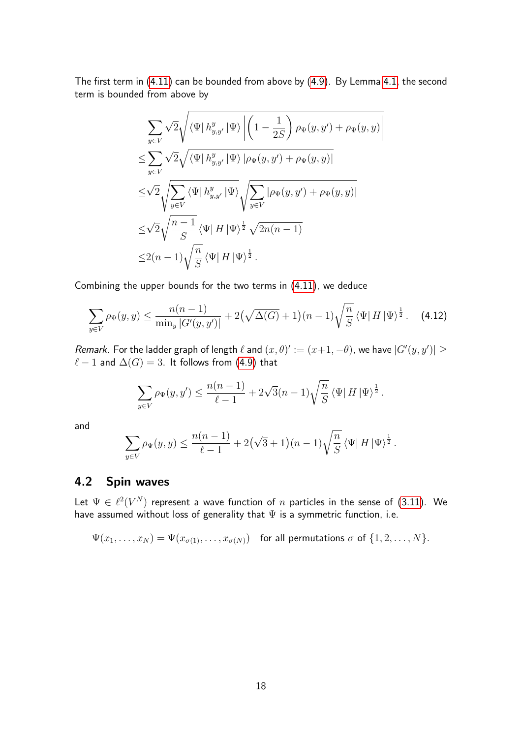The first term in [\(4.11\)](#page-16-0) can be bounded from above by [\(4.9\)](#page-16-1). By Lemma [4.1,](#page-15-0) the second term is bounded from above by

$$
\sum_{y \in V} \sqrt{2} \sqrt{\langle \Psi | h_{y,y'}^y | \Psi \rangle} \left( 1 - \frac{1}{2S} \right) \rho_{\Psi}(y, y') + \rho_{\Psi}(y, y) \right|
$$
  
\n
$$
\leq \sum_{y \in V} \sqrt{2} \sqrt{\langle \Psi | h_{y,y'}^y | \Psi \rangle} \left| \rho_{\Psi}(y, y') + \rho_{\Psi}(y, y) \right|
$$
  
\n
$$
\leq \sqrt{2} \sqrt{\sum_{y \in V} \langle \Psi | h_{y,y'}^y | \Psi \rangle} \sqrt{\sum_{y \in V} |\rho_{\Psi}(y, y') + \rho_{\Psi}(y, y)|}
$$
  
\n
$$
\leq \sqrt{2} \sqrt{\frac{n-1}{S}} \langle \Psi | H | \Psi \rangle^{\frac{1}{2}} \sqrt{2n(n-1)}
$$
  
\n
$$
\leq 2(n-1) \sqrt{\frac{n}{S}} \langle \Psi | H | \Psi \rangle^{\frac{1}{2}}.
$$

Combining the upper bounds for the two terms in [\(4.11\)](#page-16-0), we deduce

$$
\sum_{y \in V} \rho_{\Psi}(y, y) \le \frac{n(n-1)}{\min_y |G'(y, y')|} + 2\left(\sqrt{\Delta(G)} + 1\right)(n-1)\sqrt{\frac{n}{S}} \left\langle \Psi | H | \Psi \right\rangle^{\frac{1}{2}}.
$$
 (4.12)

Remark. For the ladder graph of length  $\ell$  and  $(x, \theta) := (x+1, -\theta)$ , we have  $|G'(y, y')| \ge$  $\ell - 1$  and  $\Delta(G) = 3$ . It follows from [\(4.9\)](#page-16-1) that

$$
\sum_{y \in V} \rho_{\Psi}(y, y') \le \frac{n(n-1)}{\ell - 1} + 2\sqrt{3}(n-1)\sqrt{\frac{n}{S}} \langle \Psi | H | \Psi \rangle^{\frac{1}{2}}.
$$

and

$$
\sum_{y \in V} \rho_{\Psi}(y, y) \le \frac{n(n-1)}{\ell - 1} + 2(\sqrt{3} + 1)(n-1)\sqrt{\frac{n}{S}} \langle \Psi | H | \Psi \rangle^{\frac{1}{2}}.
$$

## <span id="page-17-0"></span>4.2 Spin waves

Let  $\Psi \in \ell^2(V^N)$  represent a wave function of  $n$  particles in the sense of [\(3.11\)](#page-6-0). We have assumed without loss of generality that  $\Psi$  is a symmetric function, i.e.

$$
\Psi(x_1,\ldots,x_N)=\Psi(x_{\sigma(1)},\ldots,x_{\sigma(N)})\quad\text{for all permutations $\sigma$ of $\{1,2,\ldots,N\}$.}
$$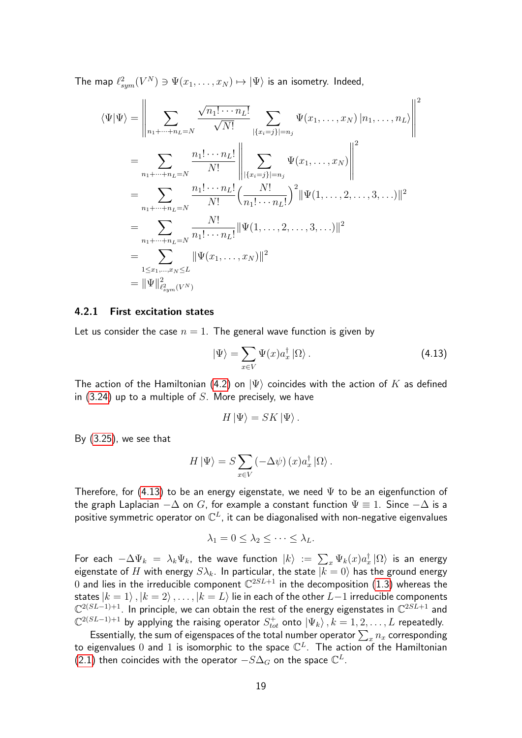The map  $\ell_{sym}^2(V^N) \ni \Psi(x_1, \ldots, x_N) \mapsto |\Psi\rangle$  is an isometry. Indeed,

$$
\langle \Psi | \Psi \rangle = \left\| \sum_{n_1 + \dots + n_L = N} \frac{\sqrt{n_1! \cdots n_L!}}{\sqrt{N!}} \sum_{|\{x_i = j\}| = n_j} \Psi(x_1, \dots, x_N) |n_1, \dots, n_L \rangle \right\|^2
$$
  
\n
$$
= \sum_{n_1 + \dots + n_L = N} \frac{n_1! \cdots n_L!}{N!} \left\| \sum_{|\{x_i = j\}| = n_j} \Psi(x_1, \dots, x_N) \right\|^2
$$
  
\n
$$
= \sum_{n_1 + \dots + n_L = N} \frac{n_1! \cdots n_L!}{N!} \left( \frac{N!}{n_1! \cdots n_L!} \right)^2 \|\Psi(1, \dots, 2, \dots, 3, \dots)\|^2
$$
  
\n
$$
= \sum_{n_1 + \dots + n_L = N} \frac{N!}{n_1! \cdots n_L!} \|\Psi(1, \dots, 2, \dots, 3, \dots)\|^2
$$
  
\n
$$
= \sum_{1 \le x_1, \dots, x_N \le L} \|\Psi(x_1, \dots, x_N)\|^2
$$
  
\n
$$
= \|\Psi\|_{\ell_{sym}^2(V^N)}^2
$$

#### 4.2.1 First excitation states

Let us consider the case  $n = 1$ . The general wave function is given by

<span id="page-18-0"></span>
$$
|\Psi\rangle = \sum_{x \in V} \Psi(x) a_x^{\dagger} |\Omega\rangle.
$$
 (4.13)

The action of the Hamiltonian [\(4.2\)](#page-13-1) on  $|\Psi\rangle$  coincides with the action of  $K$  as defined in  $(3.24)$  up to a multiple of S. More precisely, we have

$$
H\ket{\Psi}=SK\ket{\Psi}.
$$

By [\(3.25\)](#page-10-2), we see that

$$
H | \Psi \rangle = S \sum_{x \in V} \left( -\Delta \psi \right) (x) a_x^{\dagger} | \Omega \rangle.
$$

Therefore, for [\(4.13\)](#page-18-0) to be an energy eigenstate, we need  $\Psi$  to be an eigenfunction of the graph Laplacian  $-\Delta$  on G, for example a constant function  $\Psi \equiv 1$ . Since  $-\Delta$  is a positive symmetric operator on  $\mathbb{C}^{L}$ , it can be diagonalised with non-negative eigenvalues

$$
\lambda_1 = 0 \leq \lambda_2 \leq \cdots \leq \lambda_L.
$$

For each  $-\Delta\Psi_k~=~\lambda_k\Psi_k$ , the wave function  $|k\rangle~=~\sum_x\Psi_k(x)a_x^\dagger\ket{\Omega}$  is an energy eigenstate of H with energy  $S\lambda_k$ . In particular, the state  $\overline{|k=0\rangle}$  has the ground energy  $0$  and lies in the irreducible component  $\mathbb{C}^{2SL+1}$  in the decomposition [\(1.3\)](#page-1-0) whereas the states  $|k = 1\rangle$ ,  $|k = 2\rangle$ , ...,  $|k = L\rangle$  lie in each of the other  $L-1$  irreducible components  $\mathbb{C}^{2(SL-1)+1}$ . In principle, we can obtain the rest of the energy eigenstates in  $\mathbb{C}^{2SL+1}$  and  $\mathbb{C}^{2(SL-1)+1}$  by applying the raising operator  $S_{tot}^+$  onto  $\ket{\Psi_k}, k=1,2,\ldots,L$  repeatedly.

Essentially, the sum of eigenspaces of the total number operator  $\sum_x n_x$  corresponding to eigenvalues 0 and 1 is isomorphic to the space  $\mathbb{C}^{L}$ . The action of the Hamiltonian  $(2.1)$  then coincides with the operator  $-S\Delta_{G}$  on the space  $\mathbb{C}^{L}.$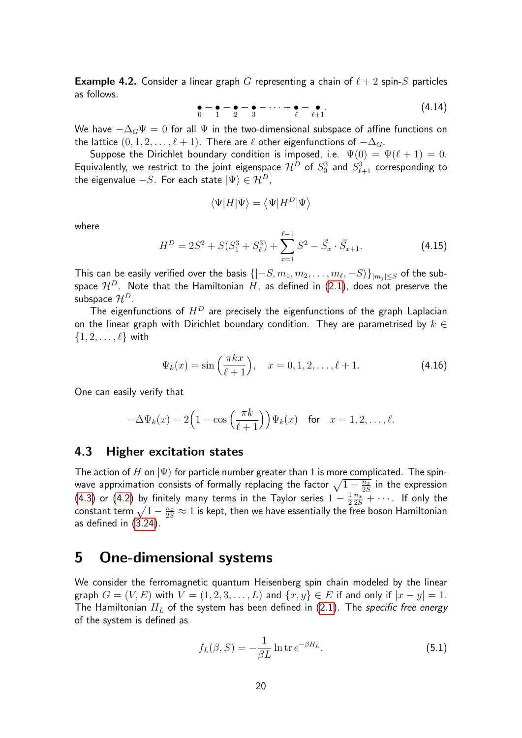**Example 4.2.** Consider a linear graph G representing a chain of  $\ell + 2$  spin-S particles as follows.

$$
\bullet - \bullet - \bullet - \bullet - \cdots - \bullet - \bullet - \bullet \tag{4.14}
$$

We have  $-\Delta_G\Psi = 0$  for all  $\Psi$  in the two-dimensional subspace of affine functions on the lattice  $(0, 1, 2, \ldots, \ell + 1)$ . There are  $\ell$  other eigenfunctions of  $-\Delta_G$ .

Suppose the Dirichlet boundary condition is imposed, i.e.  $\Psi(0) = \Psi(\ell + 1) = 0$ . Equivalently, we restrict to the joint eigenspace  $\mathcal{H}^D$  of  $S^3_0$  and  $S^3_{\ell+1}$  corresponding to the eigenvalue  $-S$ . For each state  $|\Psi\rangle \in \mathcal{H}^D$ ,

$$
\langle \Psi | H | \Psi \rangle = \langle \Psi | H^D | \Psi \rangle
$$

where

$$
H^{D} = 2S^{2} + S(S_{1}^{3} + S_{\ell}^{3}) + \sum_{x=1}^{\ell-1} S^{2} - \vec{S}_{x} \cdot \vec{S}_{x+1}.
$$
 (4.15)

This can be easily verified over the basis  $\{|-S, m_1, m_2, \ldots, m_\ell, -S\rangle\}_{|m_j|\leq S}$  of the subspace  $\mathcal{H}^D$ . Note that the Hamiltonian H, as defined in [\(2.1\)](#page-3-1), does not preserve the subspace  $\mathcal{H}^D$ .

The eigenfunctions of  $H^D$  are precisely the eigenfunctions of the graph Laplacian on the linear graph with Dirichlet boundary condition. They are parametrised by  $k \in$  $\{1, 2, \ldots, \ell\}$  with

$$
\Psi_k(x) = \sin\left(\frac{\pi k x}{\ell+1}\right), \quad x = 0, 1, 2, \dots, \ell+1. \tag{4.16}
$$

One can easily verify that

$$
-\Delta\Psi_k(x) = 2\Big(1 - \cos\Big(\frac{\pi k}{\ell+1}\Big)\Big)\Psi_k(x) \quad \text{for} \quad x = 1, 2, \dots, \ell.
$$

## 4.3 Higher excitation states

The action of H on  $|\Psi\rangle$  for particle number greater than 1 is more complicated. The spinwave apprximation consists of formally replacing the factor  $\sqrt{1-\frac{n_x}{25}}$  $\frac{\overline{n_x}}{2S}$  in the expression [\(4.3\)](#page-13-2) or [\(4.2\)](#page-13-1) by finitely many terms in the Taylor series  $1-\frac{1}{2}$ 2  $\frac{n_x}{2S} + \cdots$ . If only the constant term  $\sqrt{1-\frac{n_x}{2S}}\approx 1$  is kept, then we have essentially the free boson Hamiltonian as defined in [\(3.24\)](#page-10-1).

# 5 One-dimensional systems

We consider the ferromagnetic quantum Heisenberg spin chain modeled by the linear graph  $G = (V, E)$  with  $V = (1, 2, 3, \ldots, L)$  and  $\{x, y\} \in E$  if and only if  $|x - y| = 1$ . The Hamiltonian  $H_L$  of the system has been defined in [\(2.1\)](#page-3-1). The specific free energy of the system is defined as

$$
f_L(\beta, S) = -\frac{1}{\beta L} \ln \operatorname{tr} e^{-\beta H_L}.
$$
 (5.1)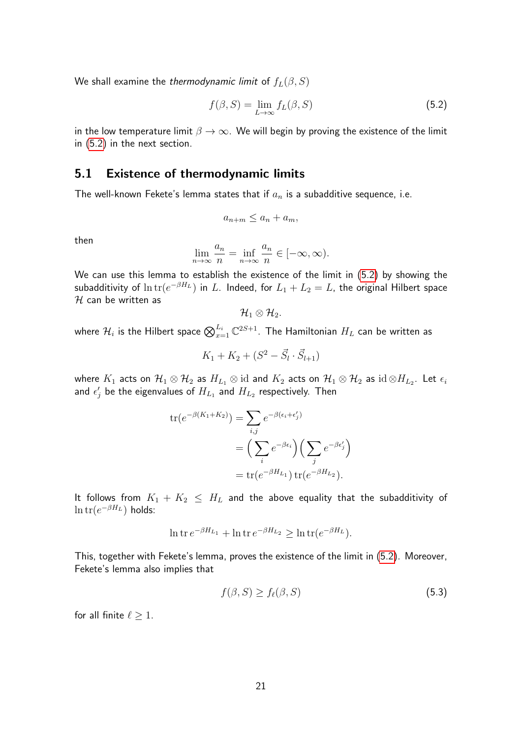We shall examine the thermodynamic limit of  $f_L(\beta, S)$ 

<span id="page-20-0"></span>
$$
f(\beta, S) = \lim_{L \to \infty} f_L(\beta, S) \tag{5.2}
$$

in the low temperature limit  $\beta \to \infty$ . We will begin by proving the existence of the limit in [\(5.2\)](#page-20-0) in the next section.

#### 5.1 Existence of thermodynamic limits

The well-known Fekete's lemma states that if  $a_n$  is a subadditive sequence, i.e.

$$
a_{n+m} \le a_n + a_m,
$$

then

$$
\lim_{n \to \infty} \frac{a_n}{n} = \inf_{n \to \infty} \frac{a_n}{n} \in [-\infty, \infty).
$$

We can use this lemma to establish the existence of the limit in [\(5.2\)](#page-20-0) by showing the subadditivity of  $\ln {\rm tr}(e^{-\beta H_L})$  in  $L.$  Indeed, for  $L_1 + L_2 = L$ , the original Hilbert space  $H$  can be written as

$$
\mathcal{H}_1\otimes\mathcal{H}_2.
$$

where  $\mathcal{H}_i$  is the Hilbert space  $\bigotimes_{x=1}^{L_i} \mathbb{C}^{2S+1}.$  The Hamiltonian  $H_L$  can be written as

$$
K_1 + K_2 + (S^2 - \vec{S}_l \cdot \vec{S}_{l+1})
$$

where  $K_1$  acts on  $\mathcal{H}_1\otimes\mathcal{H}_2$  as  $H_{L_1}\otimes$  id and  $K_2$  acts on  $\mathcal{H}_1\otimes\mathcal{H}_2$  as  $\mathrm{id}\otimes H_{L_2}.$  Let  $\epsilon_i$ and  $\epsilon'_j$  be the eigenvalues of  $H_{L_1}$  and  $H_{L_2}$  respectively. Then

$$
\operatorname{tr}(e^{-\beta(K_1+K_2)}) = \sum_{i,j} e^{-\beta(\epsilon_i+\epsilon'_j)}
$$
  
= 
$$
\left(\sum_i e^{-\beta\epsilon_i}\right) \left(\sum_j e^{-\beta\epsilon'_j}\right)
$$
  
= 
$$
\operatorname{tr}(e^{-\beta H_{L_1}}) \operatorname{tr}(e^{-\beta H_{L_2}}).
$$

It follows from  $K_1 + K_2 \leq H_L$  and the above equality that the subadditivity of  $\ln {\rm tr} (e^{-\beta H_L})$  holds:

$$
\ln \operatorname{tr} e^{-\beta H_{L_1}} + \ln \operatorname{tr} e^{-\beta H_{L_2}} \ge \ln \operatorname{tr} (e^{-\beta H_L}).
$$

This, together with Fekete's lemma, proves the existence of the limit in [\(5.2\)](#page-20-0). Moreover, Fekete's lemma also implies that

<span id="page-20-1"></span>
$$
f(\beta, S) \ge f_{\ell}(\beta, S) \tag{5.3}
$$

for all finite  $\ell \geq 1$ .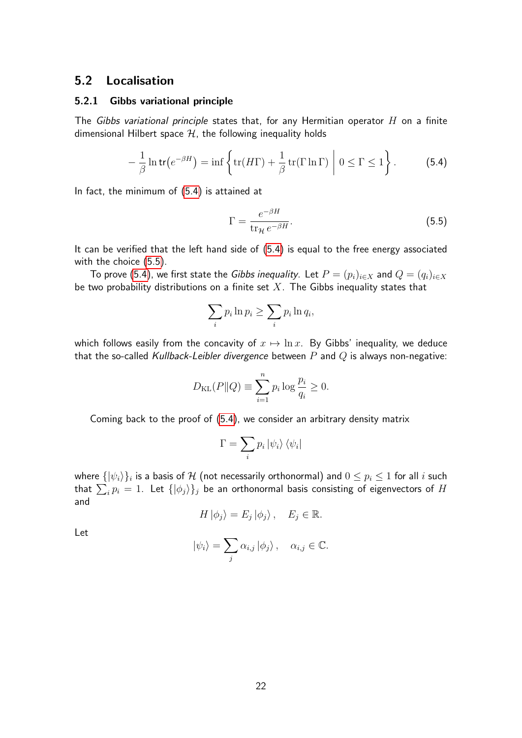#### 5.2 Localisation

#### 5.2.1 Gibbs variational principle

The Gibbs variational principle states that, for any Hermitian operator  $H$  on a finite dimensional Hilbert space  $H$ , the following inequality holds

<span id="page-21-0"></span>
$$
-\frac{1}{\beta}\ln\mathsf{tr}\left(e^{-\beta H}\right)=\inf\left\{\mathrm{tr}(H\Gamma)+\frac{1}{\beta}\,\mathrm{tr}(\Gamma\ln\Gamma)\bigg|\;0\leq\Gamma\leq1\right\}.\tag{5.4}
$$

In fact, the minimum of [\(5.4\)](#page-21-0) is attained at

<span id="page-21-1"></span>
$$
\Gamma = \frac{e^{-\beta H}}{\text{tr}_{\mathcal{H}} e^{-\beta H}}.\tag{5.5}
$$

It can be verified that the left hand side of [\(5.4\)](#page-21-0) is equal to the free energy associated with the choice [\(5.5\)](#page-21-1).

To prove [\(5.4\)](#page-21-0), we first state the Gibbs inequality. Let  $P = (p_i)_{i \in X}$  and  $Q = (q_i)_{i \in X}$ be two probability distributions on a finite set  $X$ . The Gibbs inequality states that

$$
\sum_i p_i \ln p_i \ge \sum_i p_i \ln q_i,
$$

which follows easily from the concavity of  $x \mapsto \ln x$ . By Gibbs' inequality, we deduce that the so-called Kullback-Leibler divergence between  $P$  and  $Q$  is always non-negative:

$$
D_{\text{KL}}(P||Q) \equiv \sum_{i=1}^{n} p_i \log \frac{p_i}{q_i} \ge 0.
$$

Coming back to the proof of [\(5.4\)](#page-21-0), we consider an arbitrary density matrix

$$
\Gamma = \sum_i p_i \left| \psi_i \right\rangle \left\langle \psi_i \right|
$$

where  $\{|\psi_i\rangle\}_i$  is a basis of  ${\cal H}$  (not necessarily orthonormal) and  $0\leq p_i\leq 1$  for all  $i$  such that  $\sum_i p_i = 1$ . Let  $\{|\phi_j\rangle\}_j$  be an orthonormal basis consisting of eigenvectors of  $H$ and

$$
H \left| \phi_j \right\rangle = E_j \left| \phi_j \right\rangle, \quad E_j \in \mathbb{R}.
$$

Let

$$
|\psi_i\rangle = \sum_j \alpha_{i,j} |\phi_j\rangle, \quad \alpha_{i,j} \in \mathbb{C}.
$$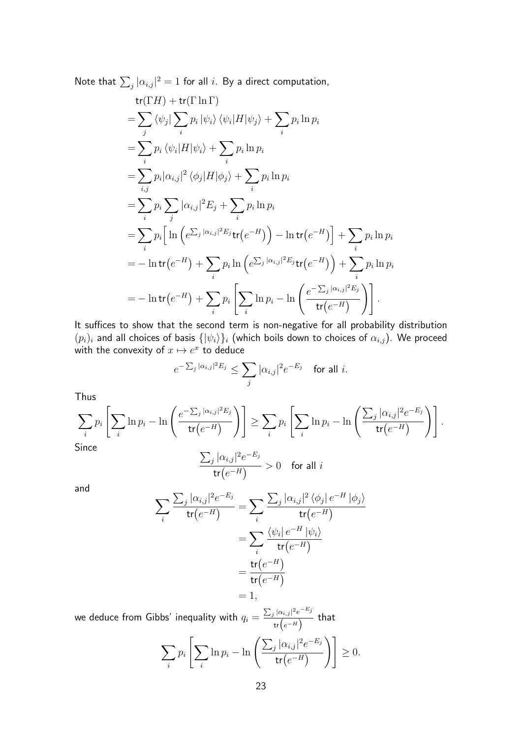Note that  $\sum_j |\alpha_{i,j}|^2 = 1$  for all  $i$ . By a direct computation,

$$
tr(\Gamma H) + tr(\Gamma \ln \Gamma)
$$
  
\n
$$
= \sum_{j} \langle \psi_{j} | \sum_{i} p_{i} | \psi_{i} \rangle \langle \psi_{i} | H | \psi_{j} \rangle + \sum_{i} p_{i} \ln p_{i}
$$
  
\n
$$
= \sum_{i} p_{i} \langle \psi_{i} | H | \psi_{i} \rangle + \sum_{i} p_{i} \ln p_{i}
$$
  
\n
$$
= \sum_{i,j} p_{i} |\alpha_{i,j}|^{2} \langle \phi_{j} | H | \phi_{j} \rangle + \sum_{i} p_{i} \ln p_{i}
$$
  
\n
$$
= \sum_{i} p_{i} \sum_{j} |\alpha_{i,j}|^{2} E_{j} + \sum_{i} p_{i} \ln p_{i}
$$
  
\n
$$
= \sum_{i} p_{i} \Big[ \ln \Big( e^{\sum_{j} |\alpha_{i,j}|^{2} E_{j}} tr(e^{-H}) \Big) - \ln tr(e^{-H}) \Big] + \sum_{i} p_{i} \ln p_{i}
$$
  
\n
$$
= -\ln tr(e^{-H}) + \sum_{i} p_{i} \ln \Big( e^{\sum_{j} |\alpha_{i,j}|^{2} E_{j}} tr(e^{-H}) \Big) + \sum_{i} p_{i} \ln p_{i}
$$
  
\n
$$
= -\ln tr(e^{-H}) + \sum_{i} p_{i} \Big[ \sum_{i} \ln p_{i} - \ln \Big( \frac{e^{-\sum_{j} |\alpha_{i,j}|^{2} E_{j}}}{tr(e^{-H})} \Big) \Big].
$$

It suffices to show that the second term is non-negative for all probability distribution  $(p_i)_i$  and all choices of basis  $\{|\psi_i \rangle \}_i$  (which boils down to choices of  $\alpha_{i,j}$ ). We proceed with the convexity of  $x \mapsto e^x$  to deduce

$$
e^{-\sum_j |\alpha_{i,j}|^2 E_j} \leq \sum_j |\alpha_{i,j}|^2 e^{-E_j} \quad \text{for all } i.
$$

Thus

$$
\sum_{i} p_i \left[ \sum_{i} \ln p_i - \ln \left( \frac{e^{-\sum_{j} |\alpha_{i,j}|^2 E_j}}{\text{tr}(e^{-H})} \right) \right] \ge \sum_{i} p_i \left[ \sum_{i} \ln p_i - \ln \left( \frac{\sum_{j} |\alpha_{i,j}|^2 e^{-E_j}}{\text{tr}(e^{-H})} \right) \right].
$$
  
Since

$$
\frac{\sum_{j} |\alpha_{i,j}|^2 e^{-E_j}}{\mathsf{tr}(e^{-H})} > 0 \quad \text{for all } i
$$

and

$$
\sum_{i} \frac{\sum_{j} |\alpha_{i,j}|^{2} e^{-E_{j}}}{\text{tr}(e^{-H})} = \sum_{i} \frac{\sum_{j} |\alpha_{i,j}|^{2} \langle \phi_{j} | e^{-H} | \phi_{j} \rangle}{\text{tr}(e^{-H})}
$$

$$
= \sum_{i} \frac{\langle \psi_{i} | e^{-H} | \psi_{i} \rangle}{\text{tr}(e^{-H})}
$$

$$
= \frac{\text{tr}(e^{-H})}{\text{tr}(e^{-H})}
$$

$$
= 1,
$$

we deduce from Gibbs' inequality with  $q_i = \frac{\sum_j |\alpha_{i,j}|^2 e^{-E_j}}{\binom{n}{2}}$  $\frac{\tan(\theta)}{\tan(\theta)}$  that

$$
\sum_{i} p_i \left[ \sum_{i} \ln p_i - \ln \left( \frac{\sum_{j} |\alpha_{i,j}|^2 e^{-E_j}}{\mathsf{tr}(e^{-H})} \right) \right] \ge 0.
$$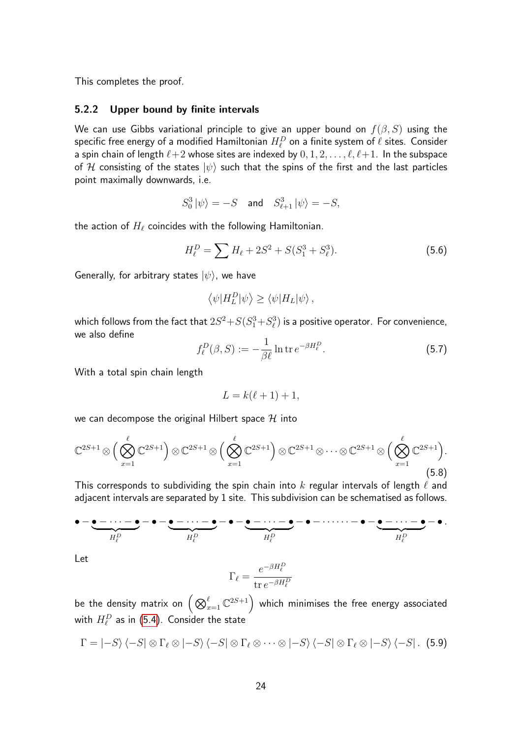This completes the proof.

#### 5.2.2 Upper bound by finite intervals

We can use Gibbs variational principle to give an upper bound on  $f(\beta, S)$  using the specific free energy of a modified Hamiltonian  $H_{\ell}^D$  on a finite system of  $\ell$  sites. Consider a spin chain of length  $\ell+2$  whose sites are indexed by  $0, 1, 2, \ldots, \ell, \ell+1$ . In the subspace of H consisting of the states  $|\psi\rangle$  such that the spins of the first and the last particles point maximally downwards, i.e.

$$
S_0^3|\psi\rangle=-S \quad \text{and} \quad S_{\ell+1}^3|\psi\rangle=-S,
$$

the action of  $H_\ell$  coincides with the following Hamiltonian.

$$
H_{\ell}^{D} = \sum H_{\ell} + 2S^2 + S(S_1^3 + S_{\ell}^3). \tag{5.6}
$$

Generally, for arbitrary states  $|\psi\rangle$ , we have

$$
\langle \psi | H_L^D | \psi \rangle \ge \langle \psi | H_L | \psi \rangle \,,
$$

which follows from the fact that  $2S^2\!+\!S(S_1^3\!+\!S_\ell^3)$  is a positive operator. For convenience, we also define

$$
f_{\ell}^{D}(\beta, S) := -\frac{1}{\beta \ell} \ln \operatorname{tr} e^{-\beta H_{\ell}^{D}}.
$$
 (5.7)

With a total spin chain length

$$
L = k(\ell + 1) + 1,
$$

we can decompose the original Hilbert space  $H$  into

$$
\mathbb{C}^{2S+1} \otimes \Big(\bigotimes_{x=1}^{\ell} \mathbb{C}^{2S+1}\Big) \otimes \mathbb{C}^{2S+1} \otimes \Big(\bigotimes_{x=1}^{\ell} \mathbb{C}^{2S+1}\Big) \otimes \mathbb{C}^{2S+1} \otimes \cdots \otimes \mathbb{C}^{2S+1} \otimes \Big(\bigotimes_{x=1}^{\ell} \mathbb{C}^{2S+1}\Big).
$$
\n(5.8)

This corresponds to subdividing the spin chain into k regular intervals of length  $\ell$  and adjacent intervals are separated by 1 site. This subdivision can be schematised as follows.

$$
\bullet-\underbrace{\bullet-\bullet-\cdots-\bullet}_{H_{\ell}^D}-\bullet-\underbrace{\bullet-\cdots-\bullet}_{H_{\ell}^D}-\bullet-\underbrace{\bullet-\cdots-\bullet}_{H_{\ell}^D}-\bullet-\cdots-\bullet-\underbrace{\bullet-\cdots-\bullet}_{H_{\ell}^D}-\bullet.
$$

Let

$$
\Gamma_\ell = \frac{e^{-\beta H^D_\ell}}{\mathop{\mathrm{tr}} e^{-\beta H^D_\ell}}
$$

be the density matrix on  $\left( \bigotimes_{x=1}^\ell \mathbb{C}^{2S+1} \right)$  which minimises the free energy associated with  $H_{\ell}^D$  as in [\(5.4\)](#page-21-0). Consider the state

$$
\Gamma = |-S\rangle \langle -S| \otimes \Gamma_\ell \otimes |-S\rangle \langle -S| \otimes \Gamma_\ell \otimes \cdots \otimes |-S\rangle \langle -S| \otimes \Gamma_\ell \otimes |-S\rangle \langle -S|.
$$
 (5.9)